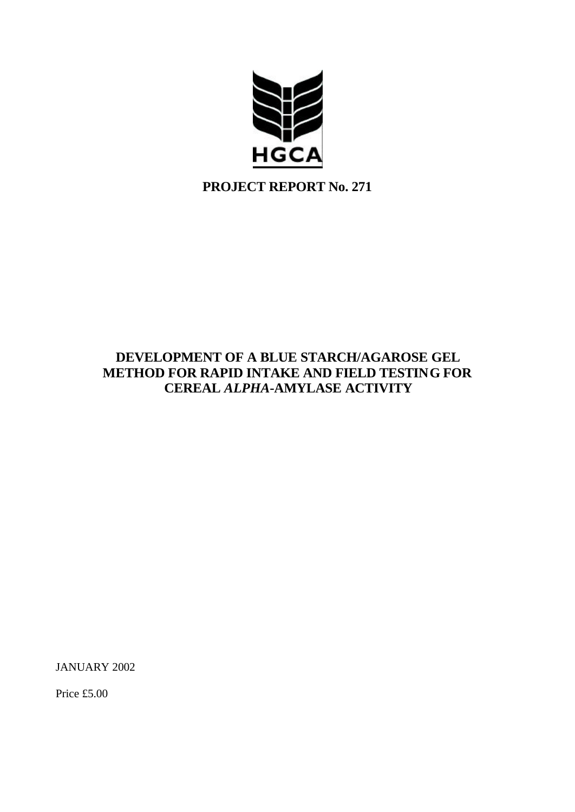

**PROJECT REPORT No. 271**

# **DEVELOPMENT OF A BLUE STARCH/AGAROSE GEL METHOD FOR RAPID INTAKE AND FIELD TESTING FOR CEREAL** *ALPHA***-AMYLASE ACTIVITY**

JANUARY 2002

Price £5.00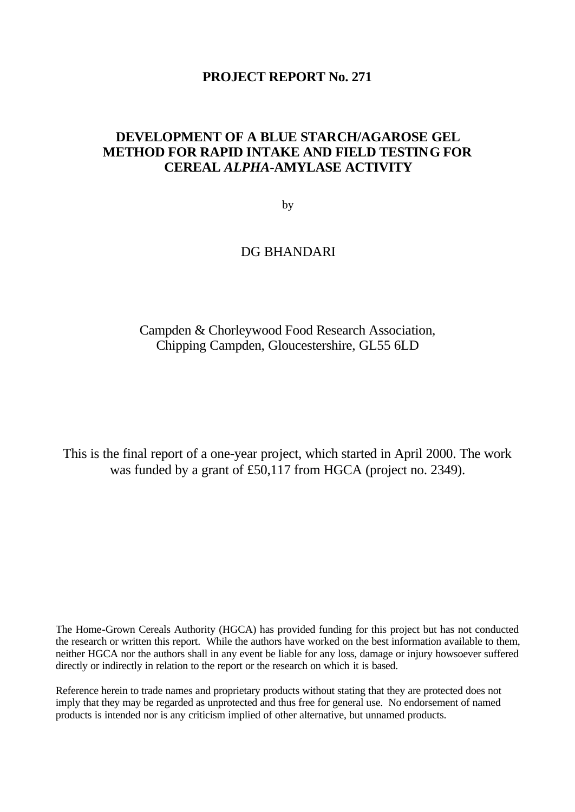## **PROJECT REPORT No. 271**

## **DEVELOPMENT OF A BLUE STARCH/AGAROSE GEL METHOD FOR RAPID INTAKE AND FIELD TESTING FOR CEREAL** *ALPHA***-AMYLASE ACTIVITY**

by

## DG BHANDARI

## Campden & Chorleywood Food Research Association, Chipping Campden, Gloucestershire, GL55 6LD

This is the final report of a one-year project, which started in April 2000. The work was funded by a grant of £50,117 from HGCA (project no. 2349).

The Home-Grown Cereals Authority (HGCA) has provided funding for this project but has not conducted the research or written this report. While the authors have worked on the best information available to them, neither HGCA nor the authors shall in any event be liable for any loss, damage or injury howsoever suffered directly or indirectly in relation to the report or the research on which it is based.

Reference herein to trade names and proprietary products without stating that they are protected does not imply that they may be regarded as unprotected and thus free for general use. No endorsement of named products is intended nor is any criticism implied of other alternative, but unnamed products.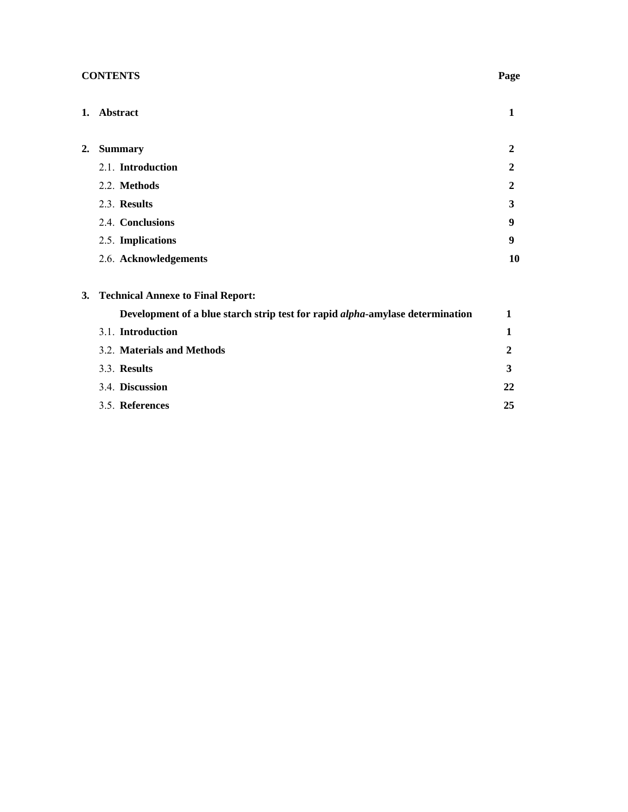| <b>CONTENTS</b> | Page |
|-----------------|------|
|-----------------|------|

|    | 1. Abstract                                                                           | 1            |
|----|---------------------------------------------------------------------------------------|--------------|
| 2. | <b>Summary</b>                                                                        | 2            |
|    | 2.1. Introduction                                                                     | $\mathbf{2}$ |
|    | 2.2. Methods                                                                          | $\mathbf{2}$ |
|    | 2.3. Results                                                                          | 3            |
|    | 2.4. Conclusions                                                                      | 9            |
|    | 2.5. Implications                                                                     | 9            |
|    | 2.6. Acknowledgements                                                                 | 10           |
| 3. | <b>Technical Annexe to Final Report:</b>                                              |              |
|    | Development of a blue starch strip test for rapid <i>alpha</i> -amylase determination | 1            |
|    | 3.1. Introduction                                                                     | 1            |
|    | 3.2. Materials and Methods                                                            | $\mathbf{2}$ |
|    | 3.3. Results                                                                          | 3            |
|    | 3.4. Discussion                                                                       | 22           |
|    | 3.5. References                                                                       | 25           |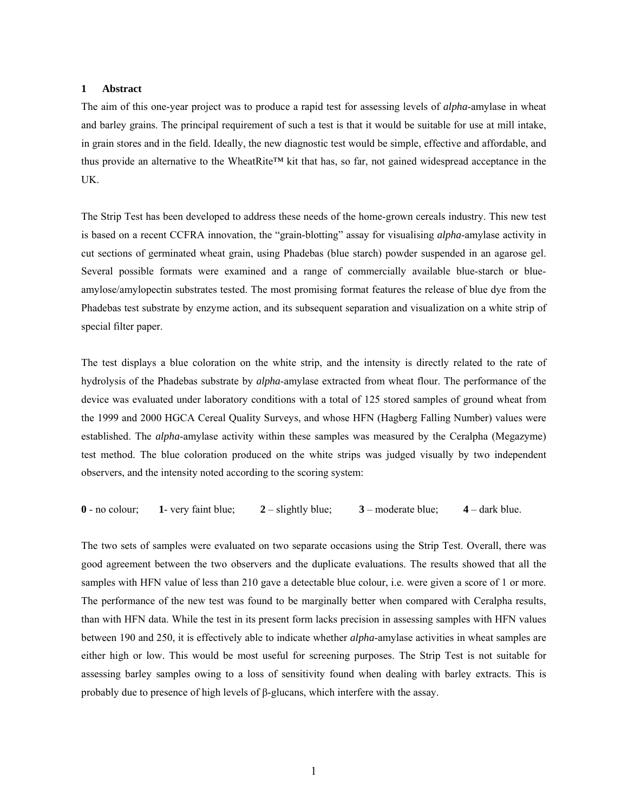#### **1 Abstract**

The aim of this one-year project was to produce a rapid test for assessing levels of *alpha*-amylase in wheat and barley grains. The principal requirement of such a test is that it would be suitable for use at mill intake, in grain stores and in the field. Ideally, the new diagnostic test would be simple, effective and affordable, and thus provide an alternative to the WheatRite™ kit that has, so far, not gained widespread acceptance in the UK.

The Strip Test has been developed to address these needs of the home-grown cereals industry. This new test is based on a recent CCFRA innovation, the "grain-blotting" assay for visualising *alpha*-amylase activity in cut sections of germinated wheat grain, using Phadebas (blue starch) powder suspended in an agarose gel. Several possible formats were examined and a range of commercially available blue-starch or blueamylose/amylopectin substrates tested. The most promising format features the release of blue dye from the Phadebas test substrate by enzyme action, and its subsequent separation and visualization on a white strip of special filter paper.

The test displays a blue coloration on the white strip, and the intensity is directly related to the rate of hydrolysis of the Phadebas substrate by *alpha*-amylase extracted from wheat flour. The performance of the device was evaluated under laboratory conditions with a total of 125 stored samples of ground wheat from the 1999 and 2000 HGCA Cereal Quality Surveys, and whose HFN (Hagberg Falling Number) values were established. The *alpha*-amylase activity within these samples was measured by the Ceralpha (Megazyme) test method. The blue coloration produced on the white strips was judged visually by two independent observers, and the intensity noted according to the scoring system:

**0** - no colour; **1**- very faint blue; **2** – slightly blue; **3** – moderate blue; **4** – dark blue.

The two sets of samples were evaluated on two separate occasions using the Strip Test. Overall, there was good agreement between the two observers and the duplicate evaluations. The results showed that all the samples with HFN value of less than 210 gave a detectable blue colour, i.e. were given a score of 1 or more. The performance of the new test was found to be marginally better when compared with Ceralpha results, than with HFN data. While the test in its present form lacks precision in assessing samples with HFN values between 190 and 250, it is effectively able to indicate whether *alpha*-amylase activities in wheat samples are either high or low. This would be most useful for screening purposes. The Strip Test is not suitable for assessing barley samples owing to a loss of sensitivity found when dealing with barley extracts. This is probably due to presence of high levels of β-glucans, which interfere with the assay.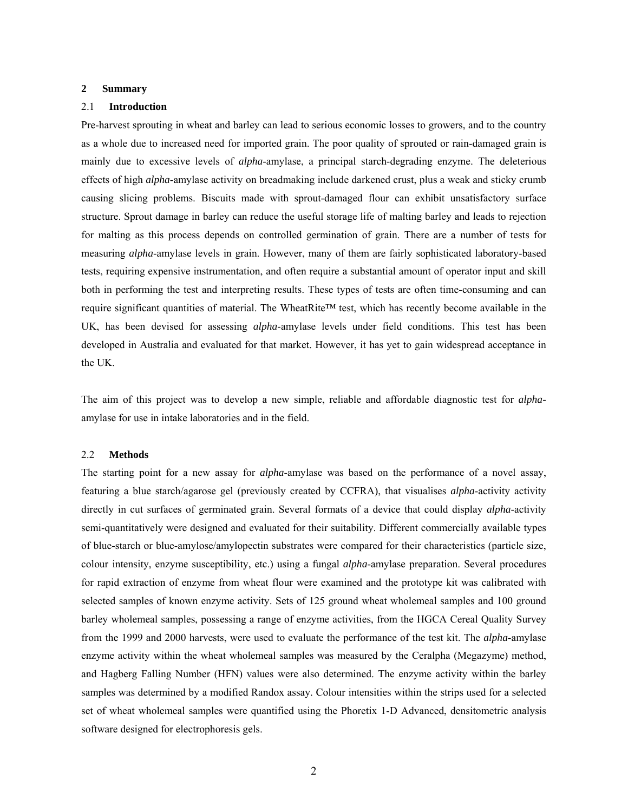#### **2 Summary**

### 2.1 **Introduction**

Pre-harvest sprouting in wheat and barley can lead to serious economic losses to growers, and to the country as a whole due to increased need for imported grain. The poor quality of sprouted or rain-damaged grain is mainly due to excessive levels of *alpha*-amylase, a principal starch-degrading enzyme. The deleterious effects of high *alpha*-amylase activity on breadmaking include darkened crust, plus a weak and sticky crumb causing slicing problems. Biscuits made with sprout-damaged flour can exhibit unsatisfactory surface structure. Sprout damage in barley can reduce the useful storage life of malting barley and leads to rejection for malting as this process depends on controlled germination of grain. There are a number of tests for measuring *alpha*-amylase levels in grain. However, many of them are fairly sophisticated laboratory-based tests, requiring expensive instrumentation, and often require a substantial amount of operator input and skill both in performing the test and interpreting results. These types of tests are often time-consuming and can require significant quantities of material. The WheatRite™ test, which has recently become available in the UK, has been devised for assessing *alpha*-amylase levels under field conditions. This test has been developed in Australia and evaluated for that market. However, it has yet to gain widespread acceptance in the UK.

The aim of this project was to develop a new simple, reliable and affordable diagnostic test for *alpha*amylase for use in intake laboratories and in the field.

#### 2.2 **Methods**

The starting point for a new assay for *alpha*-amylase was based on the performance of a novel assay, featuring a blue starch/agarose gel (previously created by CCFRA), that visualises *alpha*-activity activity directly in cut surfaces of germinated grain. Several formats of a device that could display *alpha*-activity semi-quantitatively were designed and evaluated for their suitability. Different commercially available types of blue-starch or blue-amylose/amylopectin substrates were compared for their characteristics (particle size, colour intensity, enzyme susceptibility, etc.) using a fungal *alpha*-amylase preparation. Several procedures for rapid extraction of enzyme from wheat flour were examined and the prototype kit was calibrated with selected samples of known enzyme activity. Sets of 125 ground wheat wholemeal samples and 100 ground barley wholemeal samples, possessing a range of enzyme activities, from the HGCA Cereal Quality Survey from the 1999 and 2000 harvests, were used to evaluate the performance of the test kit. The *alpha*-amylase enzyme activity within the wheat wholemeal samples was measured by the Ceralpha (Megazyme) method, and Hagberg Falling Number (HFN) values were also determined. The enzyme activity within the barley samples was determined by a modified Randox assay. Colour intensities within the strips used for a selected set of wheat wholemeal samples were quantified using the Phoretix 1-D Advanced, densitometric analysis software designed for electrophoresis gels.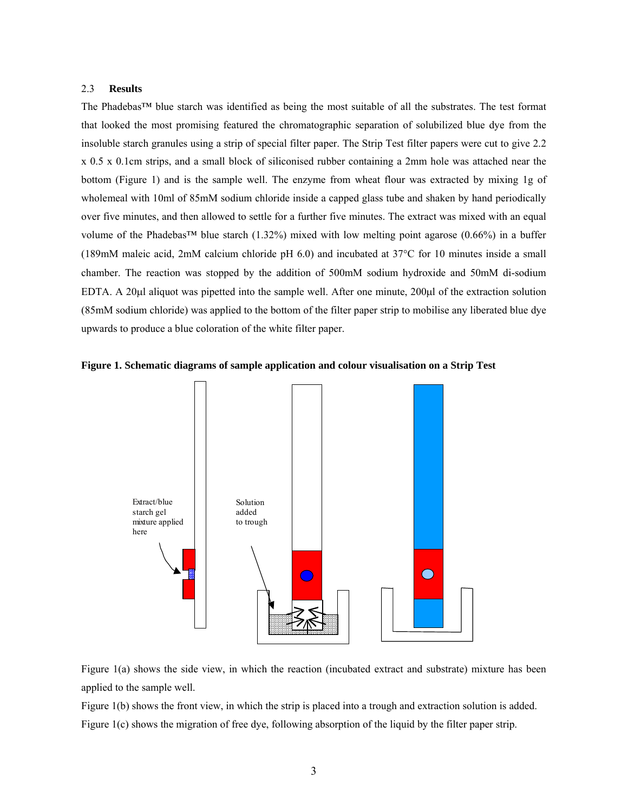#### 2.3 **Results**

The Phadebas™ blue starch was identified as being the most suitable of all the substrates. The test format that looked the most promising featured the chromatographic separation of solubilized blue dye from the insoluble starch granules using a strip of special filter paper. The Strip Test filter papers were cut to give 2.2 x 0.5 x 0.1cm strips, and a small block of siliconised rubber containing a 2mm hole was attached near the bottom (Figure 1) and is the sample well. The enzyme from wheat flour was extracted by mixing 1g of wholemeal with 10ml of 85mM sodium chloride inside a capped glass tube and shaken by hand periodically over five minutes, and then allowed to settle for a further five minutes. The extract was mixed with an equal volume of the Phadebas™ blue starch (1.32%) mixed with low melting point agarose (0.66%) in a buffer (189mM maleic acid, 2mM calcium chloride pH 6.0) and incubated at 37°C for 10 minutes inside a small chamber. The reaction was stopped by the addition of 500mM sodium hydroxide and 50mM di-sodium EDTA. A 20μl aliquot was pipetted into the sample well. After one minute, 200μl of the extraction solution (85mM sodium chloride) was applied to the bottom of the filter paper strip to mobilise any liberated blue dye upwards to produce a blue coloration of the white filter paper.





Figure 1(a) shows the side view, in which the reaction (incubated extract and substrate) mixture has been applied to the sample well.

Figure 1(b) shows the front view, in which the strip is placed into a trough and extraction solution is added. Figure 1(c) shows the migration of free dye, following absorption of the liquid by the filter paper strip.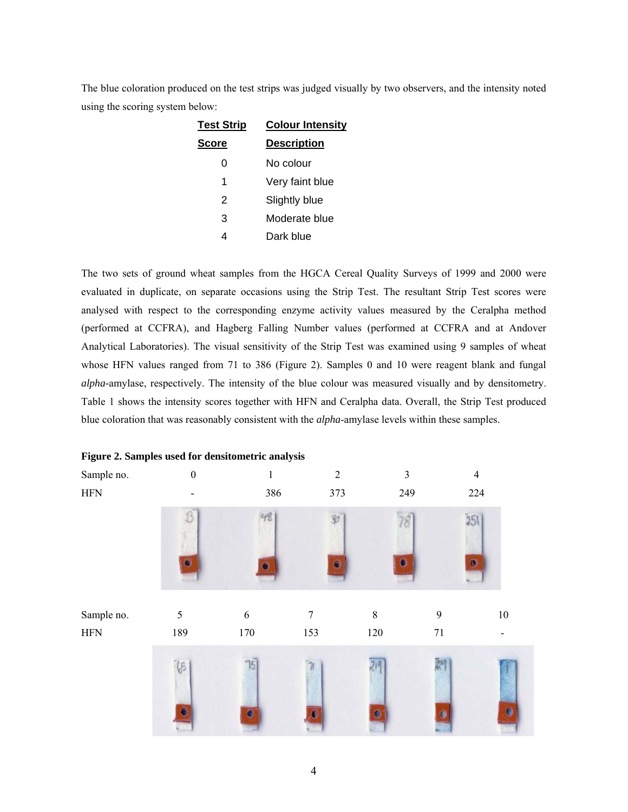The blue coloration produced on the test strips was judged visually by two observers, and the intensity noted using the scoring system below:

| <u>Test Strip</u> | <b>Colour Intensity</b> |
|-------------------|-------------------------|
| Sc <u>ore</u>     | <b>Description</b>      |
| ი                 | No colour               |
| 1                 | Very faint blue         |
| 2                 | Slightly blue           |
| 3                 | Moderate blue           |
| 4                 | Dark blue               |

The two sets of ground wheat samples from the HGCA Cereal Quality Surveys of 1999 and 2000 were evaluated in duplicate, on separate occasions using the Strip Test. The resultant Strip Test scores were analysed with respect to the corresponding enzyme activity values measured by the Ceralpha method (performed at CCFRA), and Hagberg Falling Number values (performed at CCFRA and at Andover Analytical Laboratories). The visual sensitivity of the Strip Test was examined using 9 samples of wheat whose HFN values ranged from 71 to 386 (Figure 2). Samples 0 and 10 were reagent blank and fungal *alpha-*amylase, respectively. The intensity of the blue colour was measured visually and by densitometry. Table 1 shows the intensity scores together with HFN and Ceralpha data. Overall, the Strip Test produced blue coloration that was reasonably consistent with the *alpha*-amylase levels within these samples.

| Sample no. | $\boldsymbol{0}$ | $\mathbf{1}$ | $\overline{2}$ | $\mathfrak{Z}$ |        | $\overline{4}$ |
|------------|------------------|--------------|----------------|----------------|--------|----------------|
| <b>HFN</b> |                  | 386          | 373            | 249            |        | 224            |
|            |                  |              |                |                | 351    |                |
|            |                  |              | Ġ              |                |        |                |
| Sample no. | 5                | $\sqrt{6}$   | 7              | $\,8\,$        | 9      | $10\,$         |
| <b>HFN</b> | 189              | 170          | 153            | $120\,$        | $71\,$ |                |
|            | 65               |              |                |                |        |                |
|            |                  |              |                |                |        | 册              |

|  |  |  | Figure 2. Samples used for densitometric analysis |  |
|--|--|--|---------------------------------------------------|--|
|  |  |  |                                                   |  |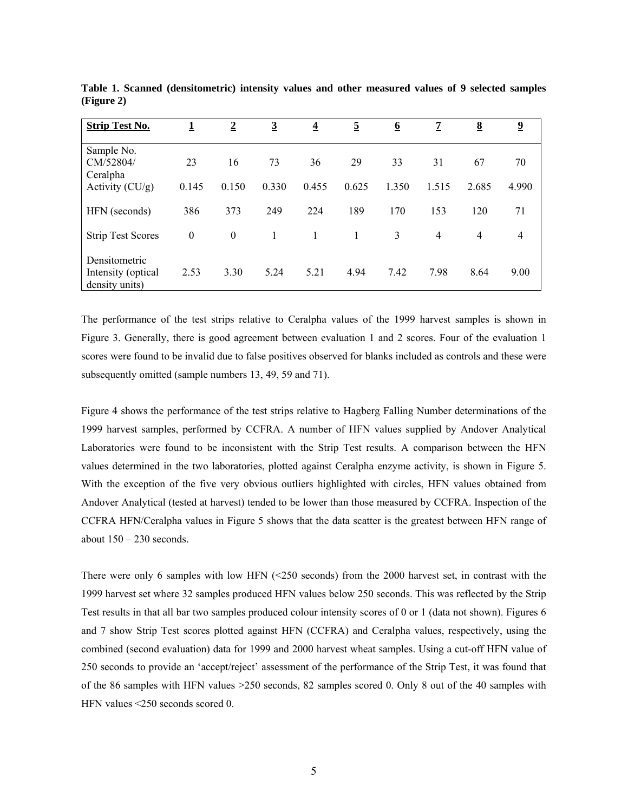| <b>Strip Test No.</b>                                 |              | $\overline{2}$   | $\overline{3}$ | $\overline{\mathbf{4}}$ | 5     | <u>6</u> | 7     | $\underline{8}$ | $\overline{\mathbf{2}}$ |
|-------------------------------------------------------|--------------|------------------|----------------|-------------------------|-------|----------|-------|-----------------|-------------------------|
| Sample No.<br>CM/52804/<br>Ceralpha                   | 23           | 16               | 73             | 36                      | 29    | 33       | 31    | 67              | 70                      |
| Activity $(CU/g)$                                     | 0.145        | 0.150            | 0.330          | 0.455                   | 0.625 | 1.350    | 1.515 | 2.685           | 4.990                   |
| HFN (seconds)                                         | 386          | 373              | 249            | 224                     | 189   | 170      | 153   | 120             | 71                      |
| <b>Strip Test Scores</b>                              | $\mathbf{0}$ | $\boldsymbol{0}$ |                | 1                       |       | 3        | 4     | 4               | $\overline{4}$          |
| Densitometric<br>Intensity (optical<br>density units) | 2.53         | 3.30             | 5.24           | 5.21                    | 4.94  | 7.42     | 7.98  | 8.64            | 9.00                    |

**Table 1. Scanned (densitometric) intensity values and other measured values of 9 selected samples (Figure 2)** 

The performance of the test strips relative to Ceralpha values of the 1999 harvest samples is shown in Figure 3. Generally, there is good agreement between evaluation 1 and 2 scores. Four of the evaluation 1 scores were found to be invalid due to false positives observed for blanks included as controls and these were subsequently omitted (sample numbers 13, 49, 59 and 71).

Figure 4 shows the performance of the test strips relative to Hagberg Falling Number determinations of the 1999 harvest samples, performed by CCFRA. A number of HFN values supplied by Andover Analytical Laboratories were found to be inconsistent with the Strip Test results. A comparison between the HFN values determined in the two laboratories, plotted against Ceralpha enzyme activity, is shown in Figure 5. With the exception of the five very obvious outliers highlighted with circles, HFN values obtained from Andover Analytical (tested at harvest) tended to be lower than those measured by CCFRA. Inspection of the CCFRA HFN/Ceralpha values in Figure 5 shows that the data scatter is the greatest between HFN range of about  $150 - 230$  seconds.

There were only 6 samples with low HFN (<250 seconds) from the 2000 harvest set, in contrast with the 1999 harvest set where 32 samples produced HFN values below 250 seconds. This was reflected by the Strip Test results in that all bar two samples produced colour intensity scores of 0 or 1 (data not shown). Figures 6 and 7 show Strip Test scores plotted against HFN (CCFRA) and Ceralpha values, respectively, using the combined (second evaluation) data for 1999 and 2000 harvest wheat samples. Using a cut-off HFN value of 250 seconds to provide an 'accept/reject' assessment of the performance of the Strip Test, it was found that of the 86 samples with HFN values >250 seconds, 82 samples scored 0. Only 8 out of the 40 samples with HFN values <250 seconds scored 0.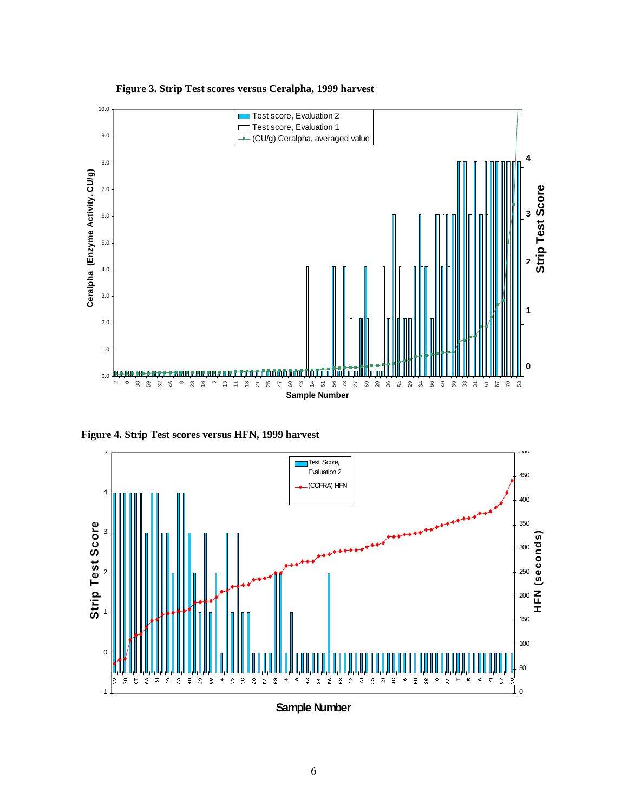

 **Figure 3. Strip Test scores versus Ceralpha, 1999 harvest** 

**Figure 4. Strip Test scores versus HFN, 1999 harvest** 



**Sample Number**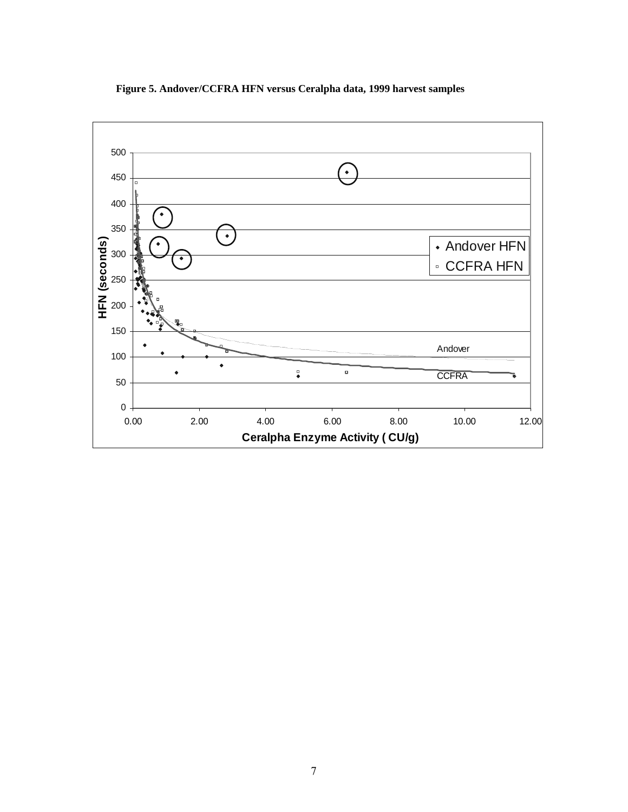

 **Figure 5. Andover/CCFRA HFN versus Ceralpha data, 1999 harvest samples**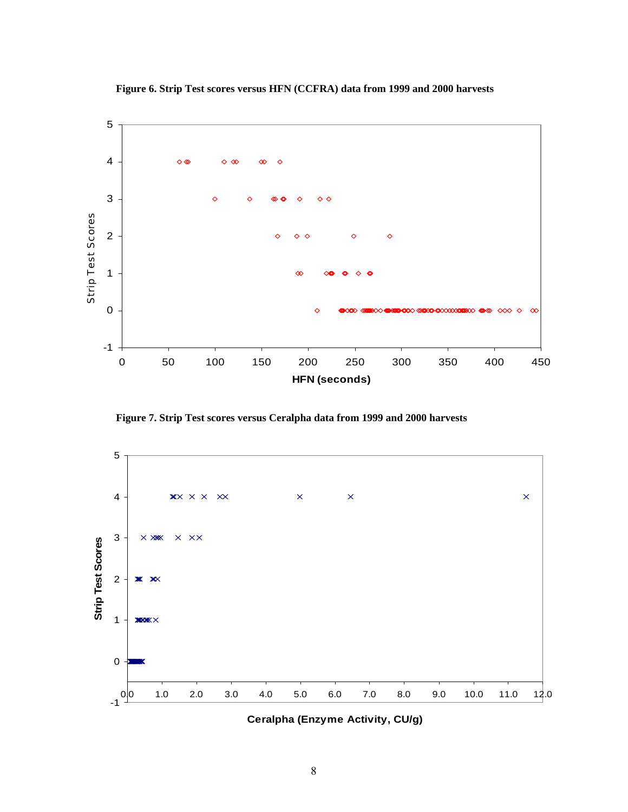

 **Figure 6. Strip Test scores versus HFN (CCFRA) data from 1999 and 2000 harvests** 

 **Figure 7. Strip Test scores versus Ceralpha data from 1999 and 2000 harvests** 



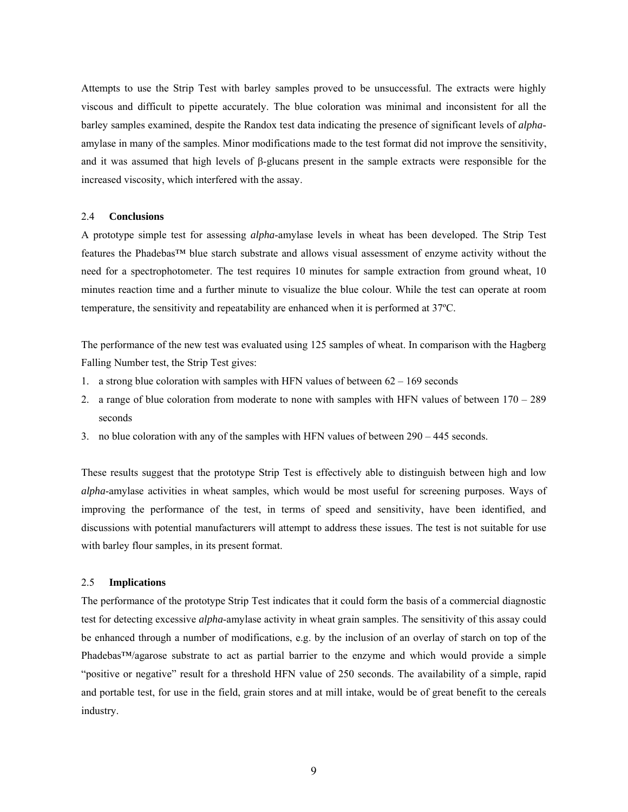Attempts to use the Strip Test with barley samples proved to be unsuccessful. The extracts were highly viscous and difficult to pipette accurately. The blue coloration was minimal and inconsistent for all the barley samples examined, despite the Randox test data indicating the presence of significant levels of *alpha*amylase in many of the samples. Minor modifications made to the test format did not improve the sensitivity, and it was assumed that high levels of  $\beta$ -glucans present in the sample extracts were responsible for the increased viscosity, which interfered with the assay.

#### 2.4 **Conclusions**

A prototype simple test for assessing *alpha*-amylase levels in wheat has been developed. The Strip Test features the Phadebas™ blue starch substrate and allows visual assessment of enzyme activity without the need for a spectrophotometer. The test requires 10 minutes for sample extraction from ground wheat, 10 minutes reaction time and a further minute to visualize the blue colour. While the test can operate at room temperature, the sensitivity and repeatability are enhanced when it is performed at 37ºC.

The performance of the new test was evaluated using 125 samples of wheat. In comparison with the Hagberg Falling Number test, the Strip Test gives:

- 1. a strong blue coloration with samples with HFN values of between  $62 169$  seconds
- 2. a range of blue coloration from moderate to none with samples with HFN values of between 170 289 seconds
- 3. no blue coloration with any of the samples with HFN values of between 290 445 seconds.

These results suggest that the prototype Strip Test is effectively able to distinguish between high and low *alpha*-amylase activities in wheat samples, which would be most useful for screening purposes. Ways of improving the performance of the test, in terms of speed and sensitivity, have been identified, and discussions with potential manufacturers will attempt to address these issues. The test is not suitable for use with barley flour samples, in its present format.

#### 2.5 **Implications**

The performance of the prototype Strip Test indicates that it could form the basis of a commercial diagnostic test for detecting excessive *alpha*-amylase activity in wheat grain samples. The sensitivity of this assay could be enhanced through a number of modifications, e.g. by the inclusion of an overlay of starch on top of the Phadebas™/agarose substrate to act as partial barrier to the enzyme and which would provide a simple "positive or negative" result for a threshold HFN value of 250 seconds. The availability of a simple, rapid and portable test, for use in the field, grain stores and at mill intake, would be of great benefit to the cereals industry.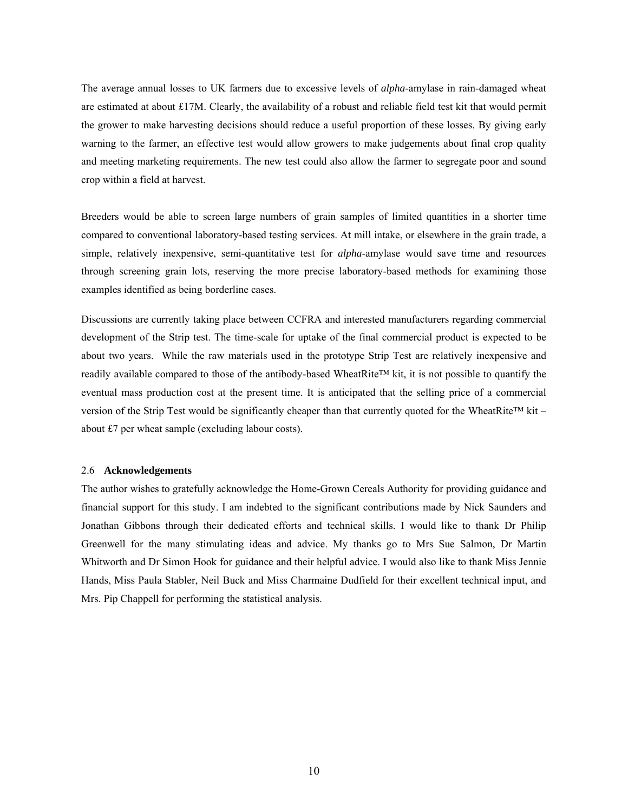The average annual losses to UK farmers due to excessive levels of *alpha*-amylase in rain-damaged wheat are estimated at about £17M. Clearly, the availability of a robust and reliable field test kit that would permit the grower to make harvesting decisions should reduce a useful proportion of these losses. By giving early warning to the farmer, an effective test would allow growers to make judgements about final crop quality and meeting marketing requirements. The new test could also allow the farmer to segregate poor and sound crop within a field at harvest.

Breeders would be able to screen large numbers of grain samples of limited quantities in a shorter time compared to conventional laboratory-based testing services. At mill intake, or elsewhere in the grain trade, a simple, relatively inexpensive, semi-quantitative test for *alpha*-amylase would save time and resources through screening grain lots, reserving the more precise laboratory-based methods for examining those examples identified as being borderline cases.

Discussions are currently taking place between CCFRA and interested manufacturers regarding commercial development of the Strip test. The time-scale for uptake of the final commercial product is expected to be about two years. While the raw materials used in the prototype Strip Test are relatively inexpensive and readily available compared to those of the antibody-based WheatRite™ kit, it is not possible to quantify the eventual mass production cost at the present time. It is anticipated that the selling price of a commercial version of the Strip Test would be significantly cheaper than that currently quoted for the WheatRite™ kit – about £7 per wheat sample (excluding labour costs).

### 2.6 **Acknowledgements**

The author wishes to gratefully acknowledge the Home-Grown Cereals Authority for providing guidance and financial support for this study. I am indebted to the significant contributions made by Nick Saunders and Jonathan Gibbons through their dedicated efforts and technical skills. I would like to thank Dr Philip Greenwell for the many stimulating ideas and advice. My thanks go to Mrs Sue Salmon, Dr Martin Whitworth and Dr Simon Hook for guidance and their helpful advice. I would also like to thank Miss Jennie Hands, Miss Paula Stabler, Neil Buck and Miss Charmaine Dudfield for their excellent technical input, and Mrs. Pip Chappell for performing the statistical analysis.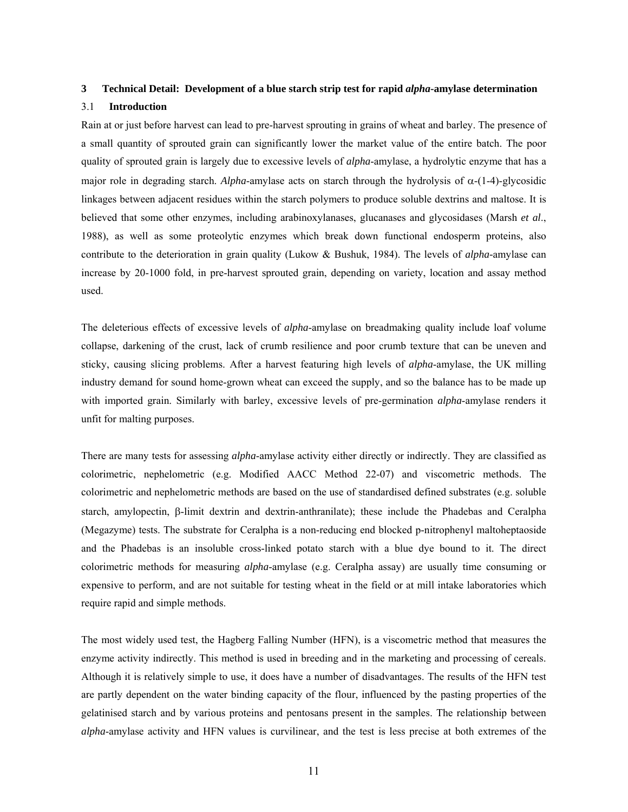## **3 Technical Detail: Development of a blue starch strip test for rapid** *alpha***-amylase determination**

## 3.1 **Introduction**

Rain at or just before harvest can lead to pre-harvest sprouting in grains of wheat and barley. The presence of a small quantity of sprouted grain can significantly lower the market value of the entire batch. The poor quality of sprouted grain is largely due to excessive levels of *alpha*-amylase, a hydrolytic enzyme that has a major role in degrading starch. *Alpha*-amylase acts on starch through the hydrolysis of  $\alpha$ -(1-4)-glycosidic linkages between adjacent residues within the starch polymers to produce soluble dextrins and maltose. It is believed that some other enzymes, including arabinoxylanases, glucanases and glycosidases (Marsh *et al*., 1988), as well as some proteolytic enzymes which break down functional endosperm proteins, also contribute to the deterioration in grain quality (Lukow & Bushuk, 1984). The levels of *alpha-*amylase can increase by 20-1000 fold, in pre-harvest sprouted grain, depending on variety, location and assay method used.

The deleterious effects of excessive levels of *alpha*-amylase on breadmaking quality include loaf volume collapse, darkening of the crust, lack of crumb resilience and poor crumb texture that can be uneven and sticky, causing slicing problems. After a harvest featuring high levels of *alpha*-amylase, the UK milling industry demand for sound home-grown wheat can exceed the supply, and so the balance has to be made up with imported grain. Similarly with barley, excessive levels of pre-germination *alpha*-amylase renders it unfit for malting purposes.

There are many tests for assessing *alpha*-amylase activity either directly or indirectly. They are classified as colorimetric, nephelometric (e.g. Modified AACC Method 22-07) and viscometric methods. The colorimetric and nephelometric methods are based on the use of standardised defined substrates (e.g. soluble starch, amylopectin, β-limit dextrin and dextrin-anthranilate); these include the Phadebas and Ceralpha (Megazyme) tests. The substrate for Ceralpha is a non-reducing end blocked p-nitrophenyl maltoheptaoside and the Phadebas is an insoluble cross-linked potato starch with a blue dye bound to it. The direct colorimetric methods for measuring *alpha*-amylase (e.g. Ceralpha assay) are usually time consuming or expensive to perform, and are not suitable for testing wheat in the field or at mill intake laboratories which require rapid and simple methods.

The most widely used test, the Hagberg Falling Number (HFN), is a viscometric method that measures the enzyme activity indirectly. This method is used in breeding and in the marketing and processing of cereals. Although it is relatively simple to use, it does have a number of disadvantages. The results of the HFN test are partly dependent on the water binding capacity of the flour, influenced by the pasting properties of the gelatinised starch and by various proteins and pentosans present in the samples. The relationship between *alpha*-amylase activity and HFN values is curvilinear, and the test is less precise at both extremes of the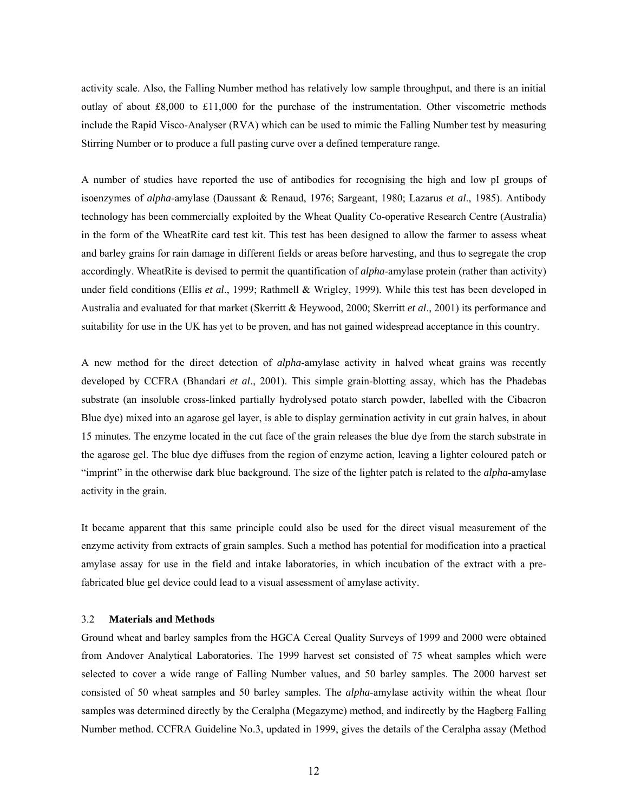activity scale. Also, the Falling Number method has relatively low sample throughput, and there is an initial outlay of about £8,000 to £11,000 for the purchase of the instrumentation. Other viscometric methods include the Rapid Visco-Analyser (RVA) which can be used to mimic the Falling Number test by measuring Stirring Number or to produce a full pasting curve over a defined temperature range.

A number of studies have reported the use of antibodies for recognising the high and low pI groups of isoenzymes of *alpha*-amylase (Daussant & Renaud, 1976; Sargeant, 1980; Lazarus *et al*., 1985). Antibody technology has been commercially exploited by the Wheat Quality Co-operative Research Centre (Australia) in the form of the WheatRite card test kit. This test has been designed to allow the farmer to assess wheat and barley grains for rain damage in different fields or areas before harvesting, and thus to segregate the crop accordingly. WheatRite is devised to permit the quantification of *alpha*-amylase protein (rather than activity) under field conditions (Ellis *et al*., 1999; Rathmell & Wrigley, 1999). While this test has been developed in Australia and evaluated for that market (Skerritt & Heywood, 2000; Skerritt *et al*., 2001) its performance and suitability for use in the UK has yet to be proven, and has not gained widespread acceptance in this country.

A new method for the direct detection of *alpha*-amylase activity in halved wheat grains was recently developed by CCFRA (Bhandari *et al*., 2001). This simple grain-blotting assay, which has the Phadebas substrate (an insoluble cross-linked partially hydrolysed potato starch powder, labelled with the Cibacron Blue dye) mixed into an agarose gel layer, is able to display germination activity in cut grain halves, in about 15 minutes. The enzyme located in the cut face of the grain releases the blue dye from the starch substrate in the agarose gel. The blue dye diffuses from the region of enzyme action, leaving a lighter coloured patch or "imprint" in the otherwise dark blue background. The size of the lighter patch is related to the *alpha*-amylase activity in the grain.

It became apparent that this same principle could also be used for the direct visual measurement of the enzyme activity from extracts of grain samples. Such a method has potential for modification into a practical amylase assay for use in the field and intake laboratories, in which incubation of the extract with a prefabricated blue gel device could lead to a visual assessment of amylase activity.

### 3.2 **Materials and Methods**

Ground wheat and barley samples from the HGCA Cereal Quality Surveys of 1999 and 2000 were obtained from Andover Analytical Laboratories. The 1999 harvest set consisted of 75 wheat samples which were selected to cover a wide range of Falling Number values, and 50 barley samples. The 2000 harvest set consisted of 50 wheat samples and 50 barley samples. The *alpha*-amylase activity within the wheat flour samples was determined directly by the Ceralpha (Megazyme) method, and indirectly by the Hagberg Falling Number method. CCFRA Guideline No.3, updated in 1999, gives the details of the Ceralpha assay (Method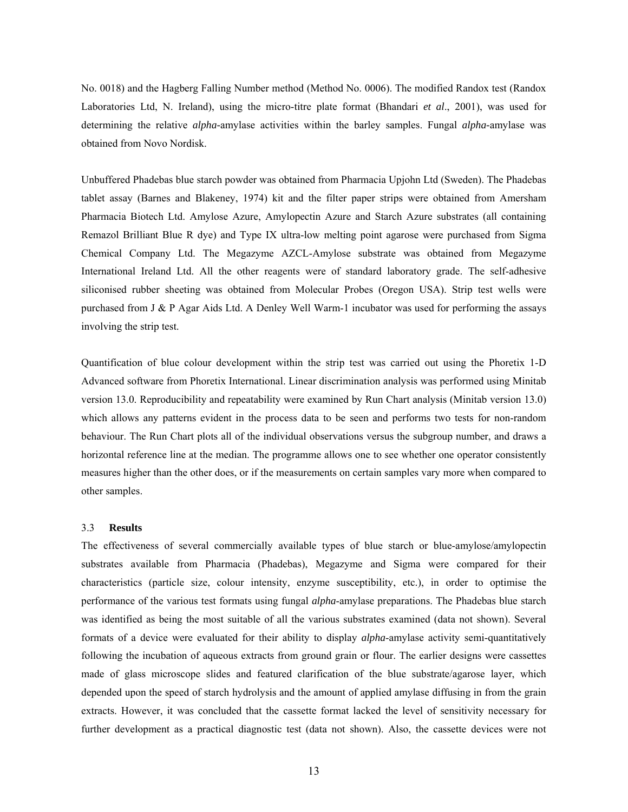No. 0018) and the Hagberg Falling Number method (Method No. 0006). The modified Randox test (Randox Laboratories Ltd, N. Ireland), using the micro-titre plate format (Bhandari *et al*., 2001), was used for determining the relative *alpha-*amylase activities within the barley samples. Fungal *alpha-*amylase was obtained from Novo Nordisk.

Unbuffered Phadebas blue starch powder was obtained from Pharmacia Upjohn Ltd (Sweden). The Phadebas tablet assay (Barnes and Blakeney, 1974) kit and the filter paper strips were obtained from Amersham Pharmacia Biotech Ltd. Amylose Azure, Amylopectin Azure and Starch Azure substrates (all containing Remazol Brilliant Blue R dye) and Type IX ultra-low melting point agarose were purchased from Sigma Chemical Company Ltd. The Megazyme AZCL-Amylose substrate was obtained from Megazyme International Ireland Ltd. All the other reagents were of standard laboratory grade. The self-adhesive siliconised rubber sheeting was obtained from Molecular Probes (Oregon USA). Strip test wells were purchased from J & P Agar Aids Ltd. A Denley Well Warm-1 incubator was used for performing the assays involving the strip test.

Quantification of blue colour development within the strip test was carried out using the Phoretix 1-D Advanced software from Phoretix International. Linear discrimination analysis was performed using Minitab version 13.0. Reproducibility and repeatability were examined by Run Chart analysis (Minitab version 13.0) which allows any patterns evident in the process data to be seen and performs two tests for non-random behaviour. The Run Chart plots all of the individual observations versus the subgroup number, and draws a horizontal reference line at the median. The programme allows one to see whether one operator consistently measures higher than the other does, or if the measurements on certain samples vary more when compared to other samples.

#### 3.3 **Results**

The effectiveness of several commercially available types of blue starch or blue-amylose/amylopectin substrates available from Pharmacia (Phadebas), Megazyme and Sigma were compared for their characteristics (particle size, colour intensity, enzyme susceptibility, etc.), in order to optimise the performance of the various test formats using fungal *alpha*-amylase preparations. The Phadebas blue starch was identified as being the most suitable of all the various substrates examined (data not shown). Several formats of a device were evaluated for their ability to display *alpha*-amylase activity semi-quantitatively following the incubation of aqueous extracts from ground grain or flour. The earlier designs were cassettes made of glass microscope slides and featured clarification of the blue substrate/agarose layer, which depended upon the speed of starch hydrolysis and the amount of applied amylase diffusing in from the grain extracts. However, it was concluded that the cassette format lacked the level of sensitivity necessary for further development as a practical diagnostic test (data not shown). Also, the cassette devices were not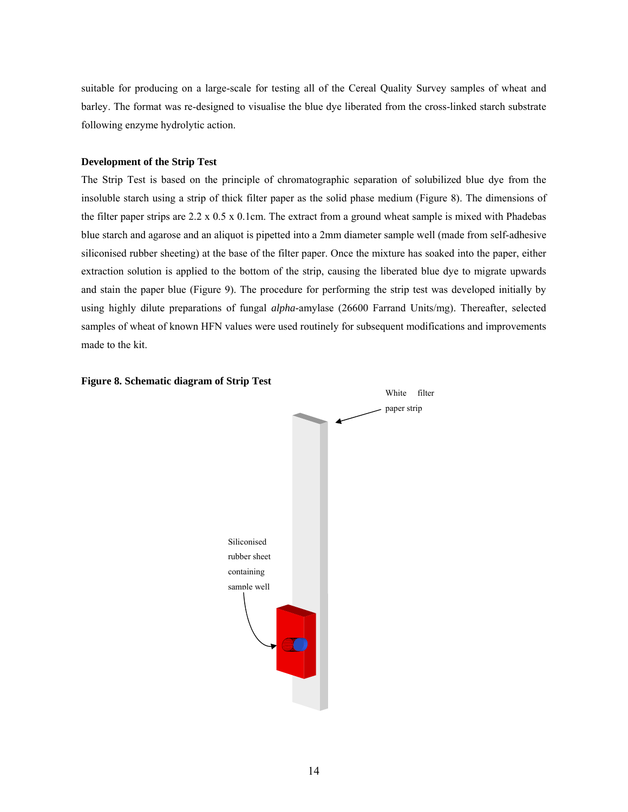suitable for producing on a large-scale for testing all of the Cereal Quality Survey samples of wheat and barley. The format was re-designed to visualise the blue dye liberated from the cross-linked starch substrate following enzyme hydrolytic action.

## **Development of the Strip Test**

The Strip Test is based on the principle of chromatographic separation of solubilized blue dye from the insoluble starch using a strip of thick filter paper as the solid phase medium (Figure 8). The dimensions of the filter paper strips are  $2.2 \times 0.5 \times 0.1$ cm. The extract from a ground wheat sample is mixed with Phadebas blue starch and agarose and an aliquot is pipetted into a 2mm diameter sample well (made from self-adhesive siliconised rubber sheeting) at the base of the filter paper. Once the mixture has soaked into the paper, either extraction solution is applied to the bottom of the strip, causing the liberated blue dye to migrate upwards and stain the paper blue (Figure 9). The procedure for performing the strip test was developed initially by using highly dilute preparations of fungal *alpha-*amylase (26600 Farrand Units/mg). Thereafter, selected samples of wheat of known HFN values were used routinely for subsequent modifications and improvements made to the kit.



#### **Figure 8. Schematic diagram of Strip Test**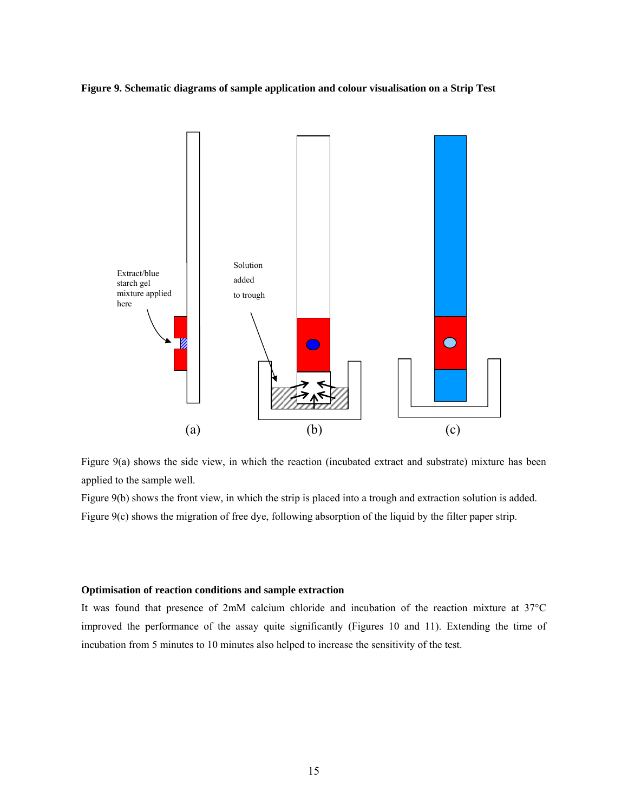



Figure 9(a) shows the side view, in which the reaction (incubated extract and substrate) mixture has been applied to the sample well.

Figure 9(b) shows the front view, in which the strip is placed into a trough and extraction solution is added. Figure 9(c) shows the migration of free dye, following absorption of the liquid by the filter paper strip.

### **Optimisation of reaction conditions and sample extraction**

It was found that presence of 2mM calcium chloride and incubation of the reaction mixture at 37°C improved the performance of the assay quite significantly (Figures 10 and 11). Extending the time of incubation from 5 minutes to 10 minutes also helped to increase the sensitivity of the test.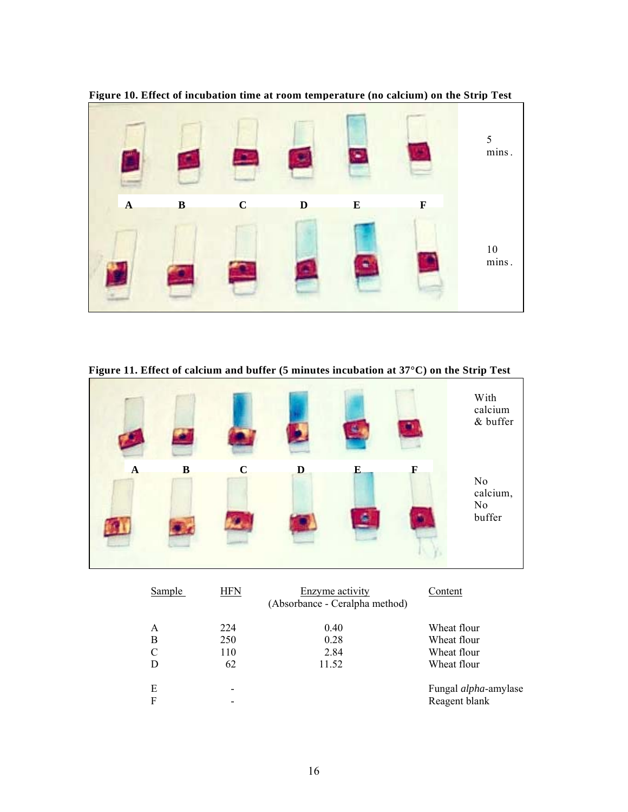

**Figure 10. Effect of incubation time at room temperature (no calcium) on the Strip Test**



**Figure 11. Effect of calcium and buffer (5 minutes incubation at 37°C) on the Strip Test**

| Sample | <b>HFN</b> | <b>Enzyme</b> activity<br>(Absorbance - Ceralpha method) | Content                                       |
|--------|------------|----------------------------------------------------------|-----------------------------------------------|
| A      | 224        | 0.40                                                     | Wheat flour                                   |
| В      | 250        | 0.28                                                     | Wheat flour                                   |
| C      | 110        | 2.84                                                     | Wheat flour                                   |
| D      | 62         | 11.52                                                    | Wheat flour                                   |
| E<br>F | -          |                                                          | Fungal <i>alpha</i> -amylase<br>Reagent blank |
|        |            |                                                          |                                               |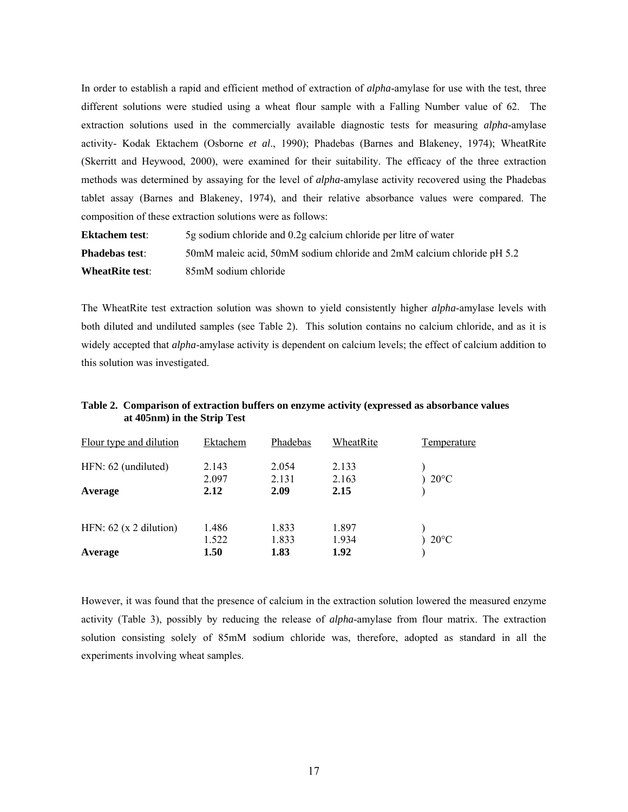In order to establish a rapid and efficient method of extraction of *alpha*-amylase for use with the test, three different solutions were studied using a wheat flour sample with a Falling Number value of 62. The extraction solutions used in the commercially available diagnostic tests for measuring *alpha*-amylase activity- Kodak Ektachem (Osborne *et al*., 1990); Phadebas (Barnes and Blakeney, 1974); WheatRite (Skerritt and Heywood, 2000), were examined for their suitability. The efficacy of the three extraction methods was determined by assaying for the level of *alpha*-amylase activity recovered using the Phadebas tablet assay (Barnes and Blakeney, 1974), and their relative absorbance values were compared. The composition of these extraction solutions were as follows:

**Ektachem test**: 5g sodium chloride and 0.2g calcium chloride per litre of water **Phadebas test**: 50mM maleic acid, 50mM sodium chloride and 2mM calcium chloride pH 5.2 **WheatRite test**: 85mM sodium chloride

The WheatRite test extraction solution was shown to yield consistently higher *alpha*-amylase levels with both diluted and undiluted samples (see Table 2). This solution contains no calcium chloride, and as it is widely accepted that *alpha*-amylase activity is dependent on calcium levels; the effect of calcium addition to this solution was investigated.

| Table 2. Comparison of extraction buffers on enzyme activity (expressed as absorbance values |
|----------------------------------------------------------------------------------------------|
| at 405nm) in the Strip Test                                                                  |

| Flour type and dilution  | Ektachem | Phadebas | WheatRite | Temperature    |
|--------------------------|----------|----------|-----------|----------------|
| HFN: 62 (undiluted)      | 2.143    | 2.054    | 2.133     |                |
|                          | 2.097    | 2.131    | 2.163     | $20^{\circ}$ C |
| Average                  | 2.12     | 2.09     | 2.15      |                |
| HFN: $62$ (x 2 dilution) | 1.486    | 1.833    | 1.897     |                |
|                          | 1.522    | 1.833    | 1.934     | $20^{\circ}$ C |
| Average                  | 1.50     | 1.83     | 1.92      |                |

However, it was found that the presence of calcium in the extraction solution lowered the measured enzyme activity (Table 3), possibly by reducing the release of *alpha*-amylase from flour matrix. The extraction solution consisting solely of 85mM sodium chloride was, therefore, adopted as standard in all the experiments involving wheat samples.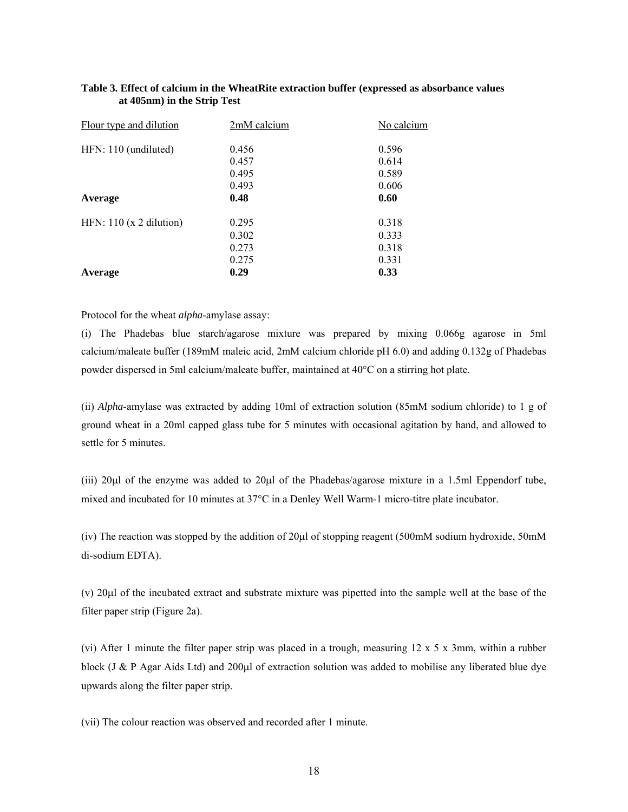| Flour type and dilution   | 2mM calcium | No calcium |
|---------------------------|-------------|------------|
| HFN: 110 (undiluted)      | 0.456       | 0.596      |
|                           | 0.457       | 0.614      |
|                           | 0.495       | 0.589      |
|                           | 0.493       | 0.606      |
| Average                   | 0.48        | 0.60       |
| HFN: $110$ (x 2 dilution) | 0.295       | 0.318      |
|                           | 0.302       | 0.333      |
|                           | 0.273       | 0.318      |
|                           | 0.275       | 0.331      |
| Average                   | 0.29        | 0.33       |

## **Table 3. Effect of calcium in the WheatRite extraction buffer (expressed as absorbance values at 405nm) in the Strip Test**

Protocol for the wheat *alpha*-amylase assay:

(i) The Phadebas blue starch/agarose mixture was prepared by mixing 0.066g agarose in 5ml calcium/maleate buffer (189mM maleic acid, 2mM calcium chloride pH 6.0) and adding 0.132g of Phadebas powder dispersed in 5ml calcium/maleate buffer, maintained at 40°C on a stirring hot plate.

(ii) *Alpha*-amylase was extracted by adding 10ml of extraction solution (85mM sodium chloride) to 1 g of ground wheat in a 20ml capped glass tube for 5 minutes with occasional agitation by hand, and allowed to settle for 5 minutes.

(iii) 20μl of the enzyme was added to 20μl of the Phadebas/agarose mixture in a 1.5ml Eppendorf tube, mixed and incubated for 10 minutes at 37°C in a Denley Well Warm-1 micro-titre plate incubator.

(iv) The reaction was stopped by the addition of 20μl of stopping reagent (500mM sodium hydroxide, 50mM di-sodium EDTA).

(v) 20μl of the incubated extract and substrate mixture was pipetted into the sample well at the base of the filter paper strip (Figure 2a).

(vi) After 1 minute the filter paper strip was placed in a trough, measuring 12 x 5 x 3mm, within a rubber block (J & P Agar Aids Ltd) and 200μl of extraction solution was added to mobilise any liberated blue dye upwards along the filter paper strip.

(vii) The colour reaction was observed and recorded after 1 minute.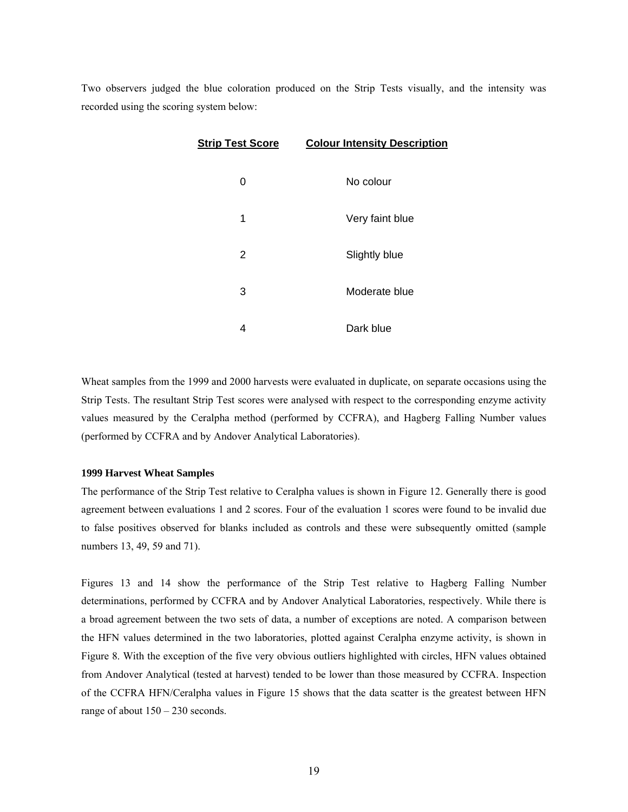Two observers judged the blue coloration produced on the Strip Tests visually, and the intensity was recorded using the scoring system below:

| <b>Strip Test Score</b> | <b>Colour Intensity Description</b> |
|-------------------------|-------------------------------------|
|                         |                                     |
| 0                       | No colour                           |
| 1                       | Very faint blue                     |
|                         |                                     |
| 2                       | Slightly blue                       |
|                         |                                     |
| 3                       | Moderate blue                       |
| 4                       | Dark blue                           |

Wheat samples from the 1999 and 2000 harvests were evaluated in duplicate, on separate occasions using the Strip Tests. The resultant Strip Test scores were analysed with respect to the corresponding enzyme activity values measured by the Ceralpha method (performed by CCFRA), and Hagberg Falling Number values (performed by CCFRA and by Andover Analytical Laboratories).

### **1999 Harvest Wheat Samples**

The performance of the Strip Test relative to Ceralpha values is shown in Figure 12. Generally there is good agreement between evaluations 1 and 2 scores. Four of the evaluation 1 scores were found to be invalid due to false positives observed for blanks included as controls and these were subsequently omitted (sample numbers 13, 49, 59 and 71).

Figures 13 and 14 show the performance of the Strip Test relative to Hagberg Falling Number determinations, performed by CCFRA and by Andover Analytical Laboratories, respectively. While there is a broad agreement between the two sets of data, a number of exceptions are noted. A comparison between the HFN values determined in the two laboratories, plotted against Ceralpha enzyme activity, is shown in Figure 8. With the exception of the five very obvious outliers highlighted with circles, HFN values obtained from Andover Analytical (tested at harvest) tended to be lower than those measured by CCFRA. Inspection of the CCFRA HFN/Ceralpha values in Figure 15 shows that the data scatter is the greatest between HFN range of about 150 – 230 seconds.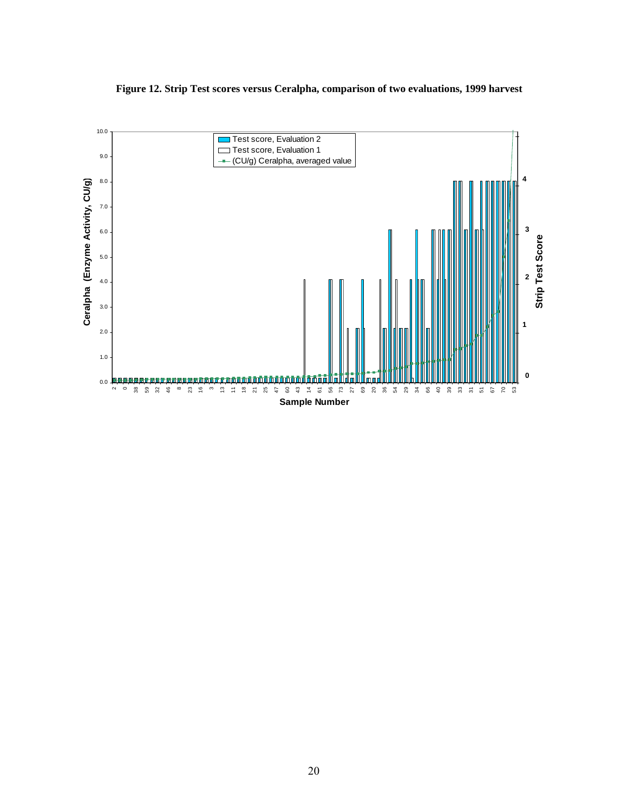## **Figure 12. Strip Test scores versus Ceralpha, comparison of two evaluations, 1999 harvest**

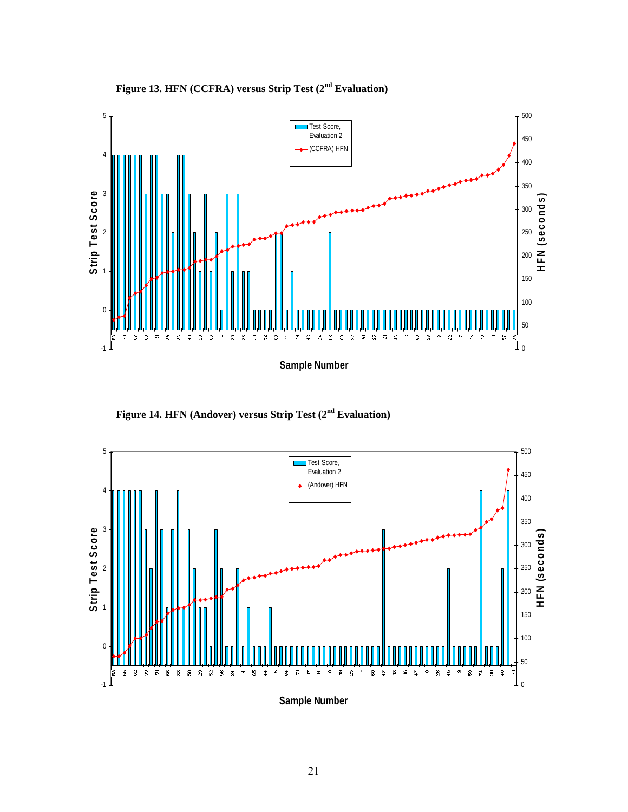

**Figure 13. HFN (CCFRA) versus Strip Test (2nd Evaluation)** 





**Sample Number**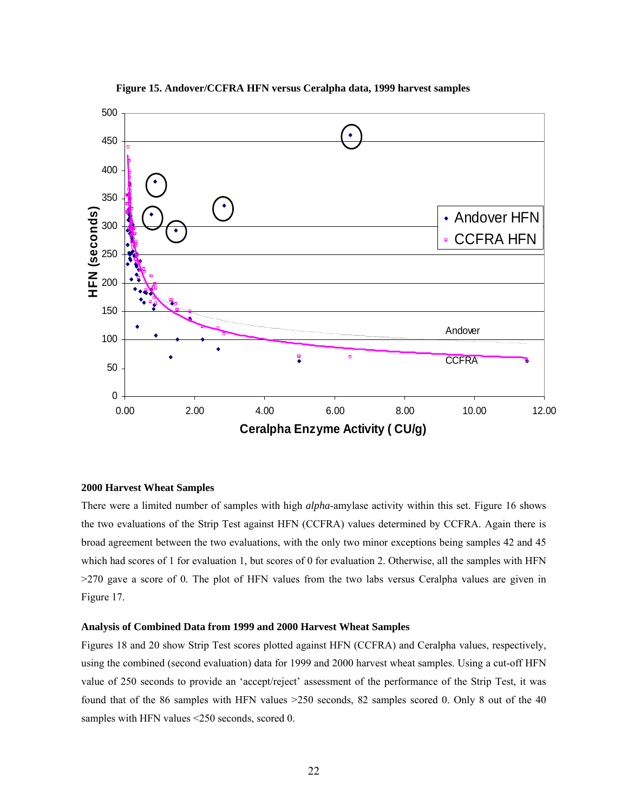

**Figure 15. Andover/CCFRA HFN versus Ceralpha data, 1999 harvest samples** 

## **2000 Harvest Wheat Samples**

There were a limited number of samples with high *alpha*-amylase activity within this set. Figure 16 shows the two evaluations of the Strip Test against HFN (CCFRA) values determined by CCFRA. Again there is broad agreement between the two evaluations, with the only two minor exceptions being samples 42 and 45 which had scores of 1 for evaluation 1, but scores of 0 for evaluation 2. Otherwise, all the samples with HFN >270 gave a score of 0. The plot of HFN values from the two labs versus Ceralpha values are given in Figure 17.

## **Analysis of Combined Data from 1999 and 2000 Harvest Wheat Samples**

Figures 18 and 20 show Strip Test scores plotted against HFN (CCFRA) and Ceralpha values, respectively, using the combined (second evaluation) data for 1999 and 2000 harvest wheat samples. Using a cut-off HFN value of 250 seconds to provide an 'accept/reject' assessment of the performance of the Strip Test, it was found that of the 86 samples with HFN values >250 seconds, 82 samples scored 0. Only 8 out of the 40 samples with HFN values <250 seconds, scored 0.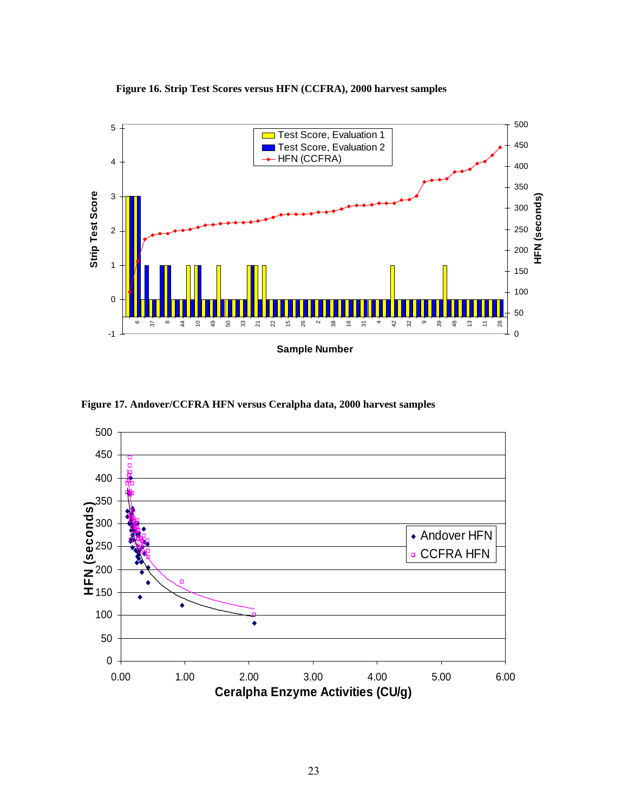

**Figure 16. Strip Test Scores versus HFN (CCFRA), 2000 harvest samples** 

**Sample Number**

 $\overline{0}$ 

**Figure 17. Andover/CCFRA HFN versus Ceralpha data, 2000 harvest samples** 

-1

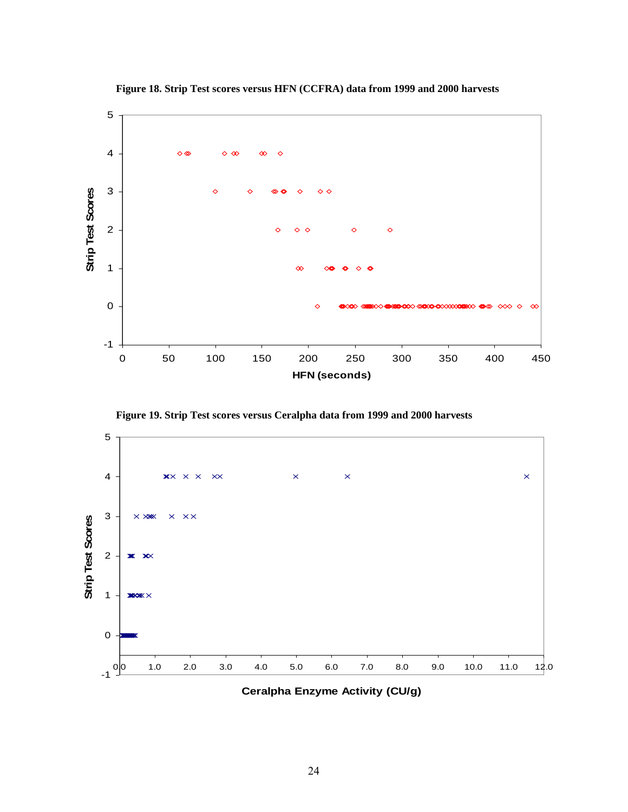

 **Figure 18. Strip Test scores versus HFN (CCFRA) data from 1999 and 2000 harvests** 

 **Figure 19. Strip Test scores versus Ceralpha data from 1999 and 2000 harvests** 



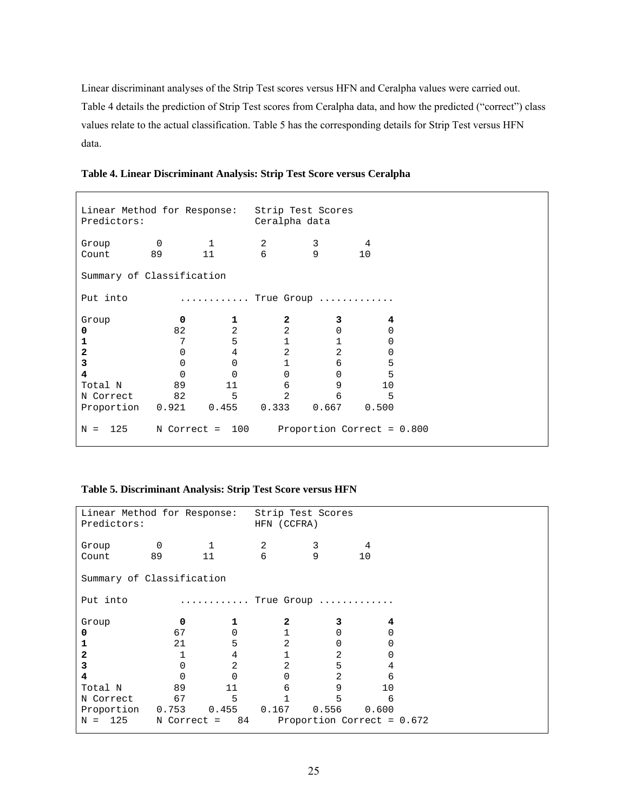Linear discriminant analyses of the Strip Test scores versus HFN and Ceralpha values were carried out. Table 4 details the prediction of Strip Test scores from Ceralpha data, and how the predicted ("correct") class values relate to the actual classification. Table 5 has the corresponding details for Strip Test versus HFN data.

|  |  | Table 4. Linear Discriminant Analysis: Strip Test Score versus Ceralpha |
|--|--|-------------------------------------------------------------------------|
|  |  |                                                                         |

| Predictors:               |             |                                          | Linear Method for Response: Strip Test Scores<br>Ceralpha data |                |                |
|---------------------------|-------------|------------------------------------------|----------------------------------------------------------------|----------------|----------------|
| Group                     | $\mathbf 0$ | 1                                        | 2                                                              | 3              | $\overline{4}$ |
| Count                     | 89          | 11                                       | 6                                                              | 9              | 10             |
| Summary of Classification |             |                                          |                                                                |                |                |
| Put into                  |             | $\ldots \ldots \ldots$ . True Group      |                                                                |                |                |
| Group                     | 0           | 1                                        | $\mathbf{2}$                                                   | 3              | 4              |
| 0                         | 82          | $\overline{2}$                           | 2                                                              | $\mathbf 0$    | $\Omega$       |
| 1                         | 7           | 5                                        | $\mathbf 1$                                                    | 1              | 0              |
| $\overline{\mathbf{2}}$   | 0           | 4                                        | 2                                                              | $\overline{2}$ | 0              |
| 3                         | $\Omega$    | $\Omega$                                 | $\mathbf{1}$                                                   | 6              | 5              |
| 4                         | 0           | $\Omega$                                 | $\Omega$                                                       | $\Omega$       | 5              |
| Total N                   | 89          | 11                                       | 6                                                              | 9              | 10             |
| N Correct                 | 82          | 5                                        | 2                                                              | 6              | 5              |
|                           |             | Proportion 0.921 0.455 0.333 0.667 0.500 |                                                                |                |                |

## **Table 5. Discriminant Analysis: Strip Test Score versus HFN**

| Linear Method for Response:<br>Predictors: |              |                                                            | HFN (CCFRA) | Strip Test Scores            |       |  |
|--------------------------------------------|--------------|------------------------------------------------------------|-------------|------------------------------|-------|--|
| Group                                      | $\Omega$     |                                                            | 2           | 3                            | 4     |  |
| Count                                      | 89           | 11                                                         | 6           | 9                            | 10    |  |
| Summary of Classification                  |              |                                                            |             |                              |       |  |
| Put into                                   |              | $\ldots \ldots \ldots$ . True Group $\ldots \ldots \ldots$ |             |                              |       |  |
| Group                                      | <sup>0</sup> |                                                            | 2           |                              | 4     |  |
| 0                                          | 67           | $\Omega$                                                   |             |                              | 0     |  |
|                                            | 21           | 5                                                          | 2           | 0                            |       |  |
| 2                                          |              | 4                                                          |             |                              |       |  |
| 3                                          | $\Omega$     | 2                                                          | 2           | 5                            | 4     |  |
| 4                                          |              |                                                            |             | 2                            | 6     |  |
| Total N                                    | 89           | 11                                                         | 6           | 9                            | 10    |  |
| N Correct                                  | 67           | 5                                                          |             | 5                            | 6     |  |
| Proportion                                 | 0.753        | 0.455                                                      | 0.167       | 0.556                        | 0.600 |  |
| 125<br>$N =$                               | N Correct =  | 84                                                         |             | Proportion Correct = $0.672$ |       |  |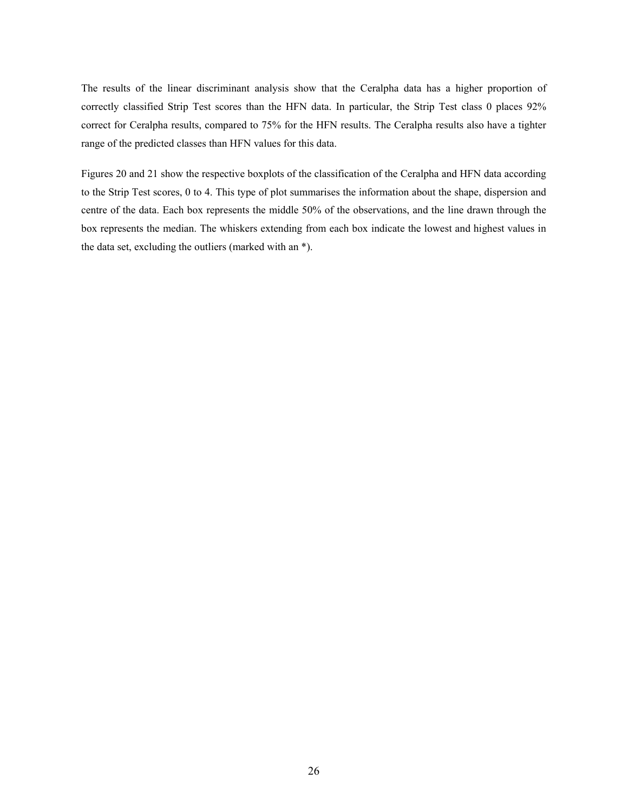The results of the linear discriminant analysis show that the Ceralpha data has a higher proportion of correctly classified Strip Test scores than the HFN data. In particular, the Strip Test class 0 places 92% correct for Ceralpha results, compared to 75% for the HFN results. The Ceralpha results also have a tighter range of the predicted classes than HFN values for this data.

Figures 20 and 21 show the respective boxplots of the classification of the Ceralpha and HFN data according to the Strip Test scores, 0 to 4. This type of plot summarises the information about the shape, dispersion and centre of the data. Each box represents the middle 50% of the observations, and the line drawn through the box represents the median. The whiskers extending from each box indicate the lowest and highest values in the data set, excluding the outliers (marked with an \*).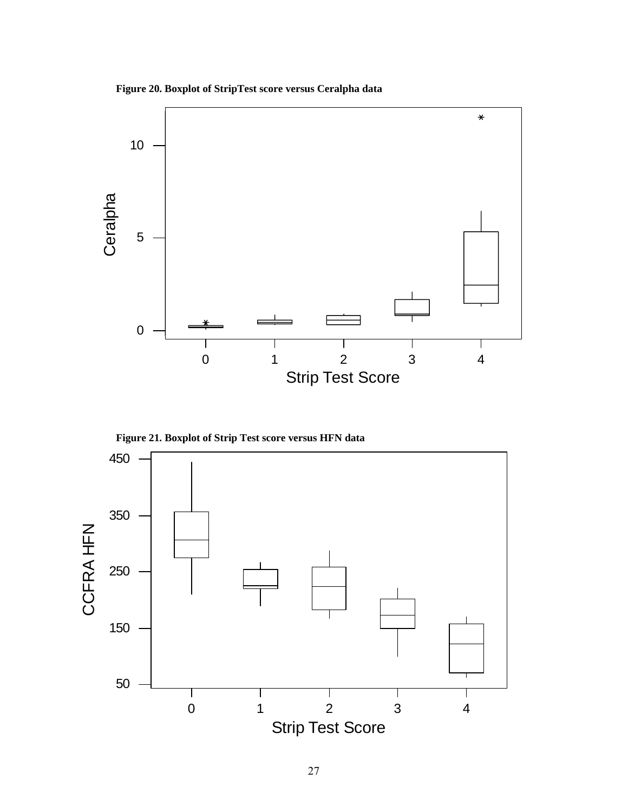**Figure 20. Boxplot of StripTest score versus Ceralpha data** 



**Figure 21. Boxplot of Strip Test score versus HFN data** 

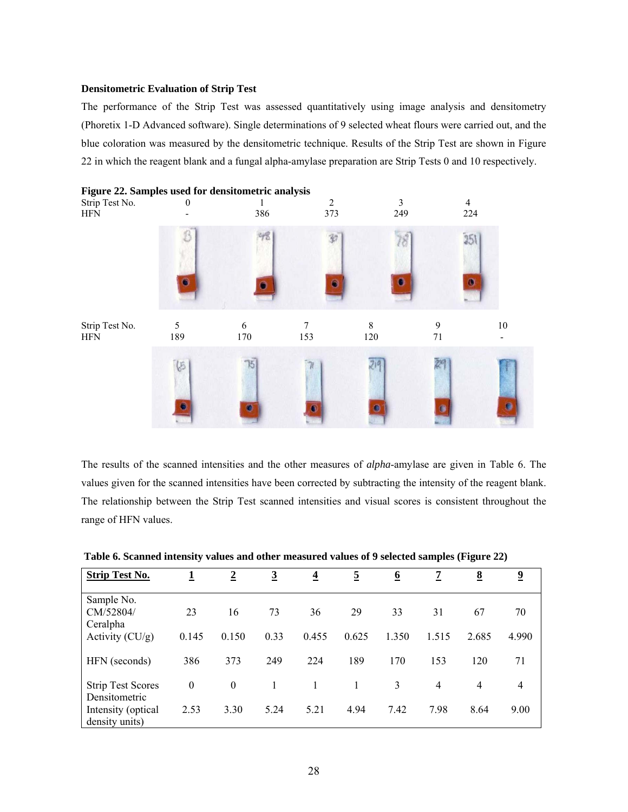#### **Densitometric Evaluation of Strip Test**

The performance of the Strip Test was assessed quantitatively using image analysis and densitometry (Phoretix 1-D Advanced software). Single determinations of 9 selected wheat flours were carried out, and the blue coloration was measured by the densitometric technique. Results of the Strip Test are shown in Figure 22 in which the reagent blank and a fungal alpha-amylase preparation are Strip Tests 0 and 10 respectively.



# The results of the scanned intensities and the other measures of *alpha*-amylase are given in Table 6. The values given for the scanned intensities have been corrected by subtracting the intensity of the reagent blank. The relationship between the Strip Test scanned intensities and visual scores is consistent throughout the range of HFN values.

| Table 6. Scanned intensity values and other measured values of 9 selected samples (Figure 22) |  |  |  |
|-----------------------------------------------------------------------------------------------|--|--|--|
|-----------------------------------------------------------------------------------------------|--|--|--|

| <b>Strip Test No.</b>                     | $\mathbf{1}$     | $\overline{2}$ | $\overline{3}$ | $\overline{4}$ | $\overline{5}$ | $6 \overline{6}$ | 7              | 8              | $\overline{\mathbf{2}}$ |
|-------------------------------------------|------------------|----------------|----------------|----------------|----------------|------------------|----------------|----------------|-------------------------|
| Sample No.<br>CM/52804/<br>Ceralpha       | 23               | 16             | 73             | 36             | 29             | 33               | 31             | 67             | 70                      |
| Activity $(CU/g)$                         | 0.145            | 0.150          | 0.33           | 0.455          | 0.625          | 1.350            | 1.515          | 2.685          | 4.990                   |
| HFN (seconds)                             | 386              | 373            | 249            | 224            | 189            | 170              | 153            | 120            | 71                      |
| <b>Strip Test Scores</b><br>Densitometric | $\boldsymbol{0}$ | $\theta$       |                |                |                | 3                | $\overline{4}$ | $\overline{4}$ | 4                       |
| Intensity (optical)<br>density units)     | 2.53             | 3.30           | 5.24           | 5.21           | 4.94           | 7.42             | 7.98           | 8.64           | 9.00                    |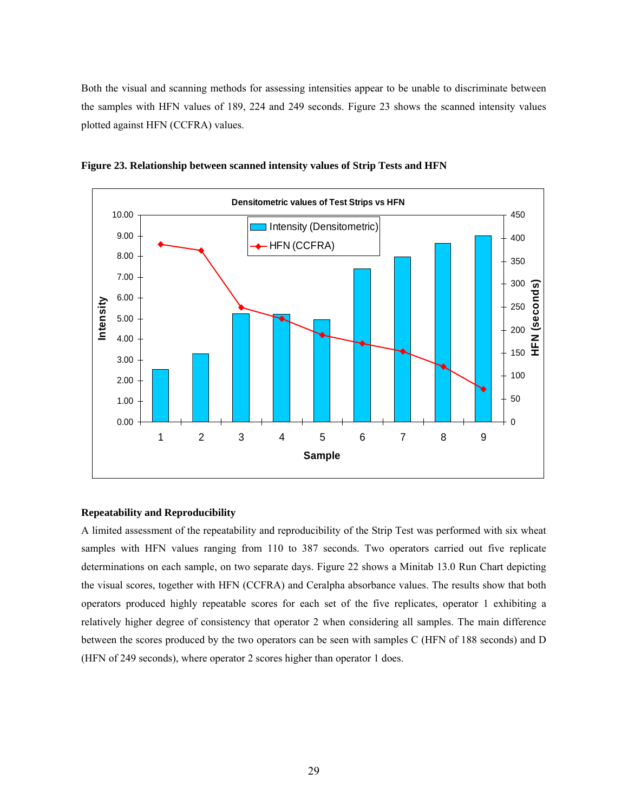Both the visual and scanning methods for assessing intensities appear to be unable to discriminate between the samples with HFN values of 189, 224 and 249 seconds. Figure 23 shows the scanned intensity values plotted against HFN (CCFRA) values.



**Figure 23. Relationship between scanned intensity values of Strip Tests and HFN** 

## **Repeatability and Reproducibility**

A limited assessment of the repeatability and reproducibility of the Strip Test was performed with six wheat samples with HFN values ranging from 110 to 387 seconds. Two operators carried out five replicate determinations on each sample, on two separate days. Figure 22 shows a Minitab 13.0 Run Chart depicting the visual scores, together with HFN (CCFRA) and Ceralpha absorbance values. The results show that both operators produced highly repeatable scores for each set of the five replicates, operator 1 exhibiting a relatively higher degree of consistency that operator 2 when considering all samples. The main difference between the scores produced by the two operators can be seen with samples C (HFN of 188 seconds) and D (HFN of 249 seconds), where operator 2 scores higher than operator 1 does.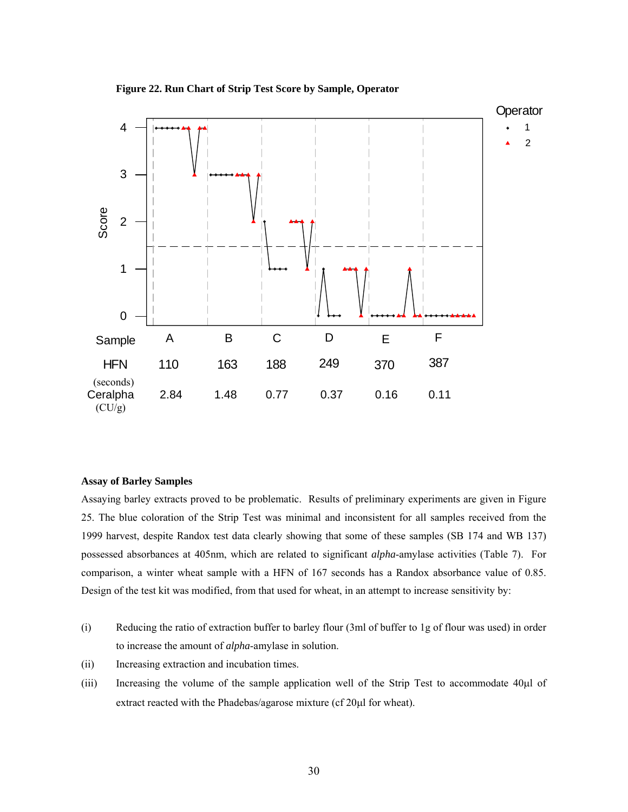**Figure 22. Run Chart of Strip Test Score by Sample, Operator**



#### **Assay of Barley Samples**

Assaying barley extracts proved to be problematic. Results of preliminary experiments are given in Figure 25. The blue coloration of the Strip Test was minimal and inconsistent for all samples received from the 1999 harvest, despite Randox test data clearly showing that some of these samples (SB 174 and WB 137) possessed absorbances at 405nm, which are related to significant *alpha*-amylase activities (Table 7). For comparison, a winter wheat sample with a HFN of 167 seconds has a Randox absorbance value of 0.85. Design of the test kit was modified, from that used for wheat, in an attempt to increase sensitivity by:

- (i) Reducing the ratio of extraction buffer to barley flour (3ml of buffer to 1g of flour was used) in order to increase the amount of *alpha*-amylase in solution.
- (ii) Increasing extraction and incubation times.
- (iii) Increasing the volume of the sample application well of the Strip Test to accommodate 40μl of extract reacted with the Phadebas/agarose mixture (cf 20μl for wheat).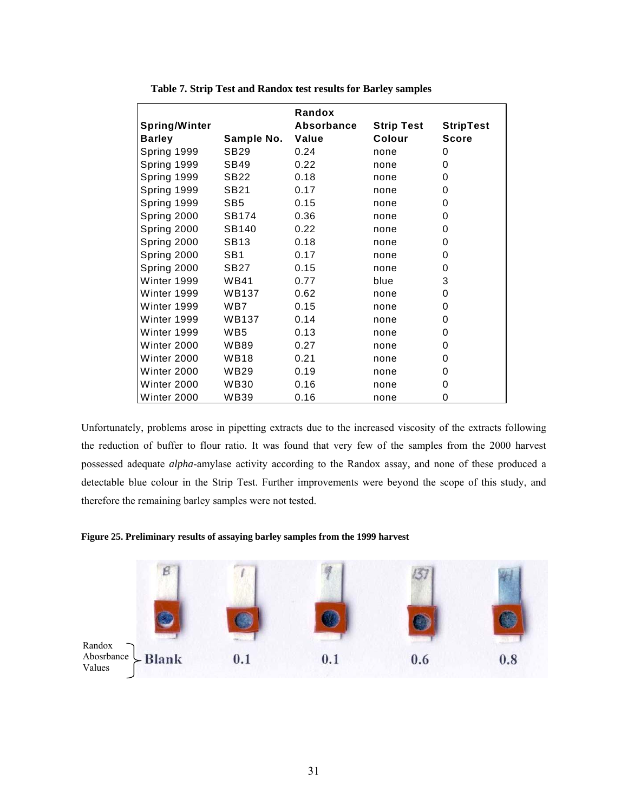|                      |                  | Randox            |                   |                  |
|----------------------|------------------|-------------------|-------------------|------------------|
| <b>Spring/Winter</b> |                  | <b>Absorbance</b> | <b>Strip Test</b> | <b>StripTest</b> |
| <b>Barley</b>        | Sample No.       | Value             | Colour            | Score            |
| Spring 1999          | SB <sub>29</sub> | 0.24              | none              | 0                |
| Spring 1999          | SB49             | 0.22              | none              | 0                |
| Spring 1999          | SB22             | 0.18              | none              | 0                |
| Spring 1999          | SB21             | 0.17              | none              | 0                |
| Spring 1999          | SB <sub>5</sub>  | 0.15              | none              | 0                |
| Spring 2000          | <b>SB174</b>     | 0.36              | none              | 0                |
| Spring 2000          | <b>SB140</b>     | 0.22              | none              | 0                |
| Spring 2000          | <b>SB13</b>      | 0.18              | none              | 0                |
| Spring 2000          | SB <sub>1</sub>  | 0.17              | none              | 0                |
| Spring 2000          | <b>SB27</b>      | 0.15              | none              | 0                |
| Winter 1999          | <b>WB41</b>      | 0.77              | blue              | 3                |
| Winter 1999          | <b>WB137</b>     | 0.62              | none              | 0                |
| Winter 1999          | WB7              | 0.15              | none              | 0                |
| Winter 1999          | <b>WB137</b>     | 0.14              | none              | 0                |
| Winter 1999          | WB <sub>5</sub>  | 0.13              | none              | 0                |
| Winter 2000          | <b>WB89</b>      | 0.27              | none              | 0                |
| Winter 2000          | <b>WB18</b>      | 0.21              | none              | 0                |
| Winter 2000          | <b>WB29</b>      | 0.19              | none              | 0                |
| Winter 2000          | WB30             | 0.16              | none              | 0                |
| Winter 2000          | WB39             | 0.16              | none              | 0                |

|  | Table 7. Strip Test and Randox test results for Barley samples |  |
|--|----------------------------------------------------------------|--|
|  |                                                                |  |

Unfortunately, problems arose in pipetting extracts due to the increased viscosity of the extracts following the reduction of buffer to flour ratio. It was found that very few of the samples from the 2000 harvest possessed adequate *alpha*-amylase activity according to the Randox assay, and none of these produced a detectable blue colour in the Strip Test. Further improvements were beyond the scope of this study, and therefore the remaining barley samples were not tested.

**Figure 25. Preliminary results of assaying barley samples from the 1999 harvest** 

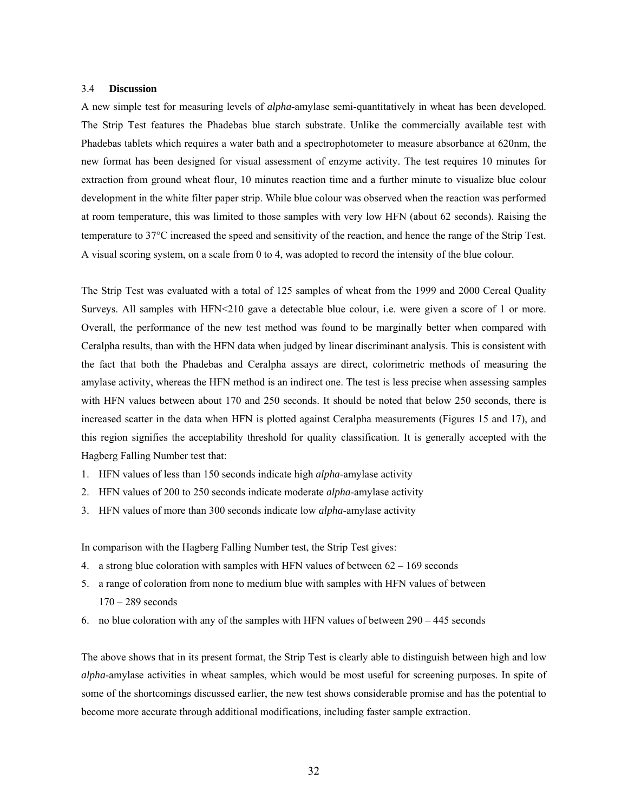#### 3.4 **Discussion**

A new simple test for measuring levels of *alpha*-amylase semi-quantitatively in wheat has been developed. The Strip Test features the Phadebas blue starch substrate. Unlike the commercially available test with Phadebas tablets which requires a water bath and a spectrophotometer to measure absorbance at 620nm, the new format has been designed for visual assessment of enzyme activity. The test requires 10 minutes for extraction from ground wheat flour, 10 minutes reaction time and a further minute to visualize blue colour development in the white filter paper strip. While blue colour was observed when the reaction was performed at room temperature, this was limited to those samples with very low HFN (about 62 seconds). Raising the temperature to 37°C increased the speed and sensitivity of the reaction, and hence the range of the Strip Test. A visual scoring system, on a scale from 0 to 4, was adopted to record the intensity of the blue colour.

The Strip Test was evaluated with a total of 125 samples of wheat from the 1999 and 2000 Cereal Quality Surveys. All samples with HFN<210 gave a detectable blue colour, i.e. were given a score of 1 or more. Overall, the performance of the new test method was found to be marginally better when compared with Ceralpha results, than with the HFN data when judged by linear discriminant analysis. This is consistent with the fact that both the Phadebas and Ceralpha assays are direct, colorimetric methods of measuring the amylase activity, whereas the HFN method is an indirect one. The test is less precise when assessing samples with HFN values between about 170 and 250 seconds. It should be noted that below 250 seconds, there is increased scatter in the data when HFN is plotted against Ceralpha measurements (Figures 15 and 17), and this region signifies the acceptability threshold for quality classification. It is generally accepted with the Hagberg Falling Number test that:

- 1. HFN values of less than 150 seconds indicate high *alpha*-amylase activity
- 2. HFN values of 200 to 250 seconds indicate moderate *alpha*-amylase activity
- 3. HFN values of more than 300 seconds indicate low *alpha*-amylase activity

In comparison with the Hagberg Falling Number test, the Strip Test gives:

- 4. a strong blue coloration with samples with HFN values of between 62 169 seconds
- 5. a range of coloration from none to medium blue with samples with HFN values of between 170 – 289 seconds
- 6. no blue coloration with any of the samples with HFN values of between 290 445 seconds

The above shows that in its present format, the Strip Test is clearly able to distinguish between high and low *alpha*-amylase activities in wheat samples, which would be most useful for screening purposes. In spite of some of the shortcomings discussed earlier, the new test shows considerable promise and has the potential to become more accurate through additional modifications, including faster sample extraction.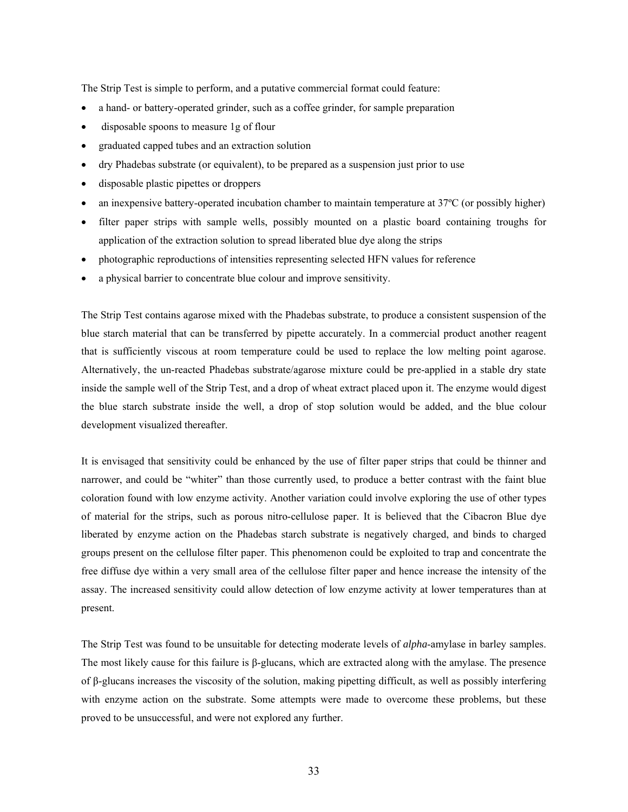The Strip Test is simple to perform, and a putative commercial format could feature:

- a hand- or battery-operated grinder, such as a coffee grinder, for sample preparation
- disposable spoons to measure 1g of flour
- graduated capped tubes and an extraction solution
- dry Phadebas substrate (or equivalent), to be prepared as a suspension just prior to use
- disposable plastic pipettes or droppers
- an inexpensive battery-operated incubation chamber to maintain temperature at 37ºC (or possibly higher)
- filter paper strips with sample wells, possibly mounted on a plastic board containing troughs for application of the extraction solution to spread liberated blue dye along the strips
- photographic reproductions of intensities representing selected HFN values for reference
- a physical barrier to concentrate blue colour and improve sensitivity.

The Strip Test contains agarose mixed with the Phadebas substrate, to produce a consistent suspension of the blue starch material that can be transferred by pipette accurately. In a commercial product another reagent that is sufficiently viscous at room temperature could be used to replace the low melting point agarose. Alternatively, the un-reacted Phadebas substrate/agarose mixture could be pre-applied in a stable dry state inside the sample well of the Strip Test, and a drop of wheat extract placed upon it. The enzyme would digest the blue starch substrate inside the well, a drop of stop solution would be added, and the blue colour development visualized thereafter.

It is envisaged that sensitivity could be enhanced by the use of filter paper strips that could be thinner and narrower, and could be "whiter" than those currently used, to produce a better contrast with the faint blue coloration found with low enzyme activity. Another variation could involve exploring the use of other types of material for the strips, such as porous nitro-cellulose paper. It is believed that the Cibacron Blue dye liberated by enzyme action on the Phadebas starch substrate is negatively charged, and binds to charged groups present on the cellulose filter paper. This phenomenon could be exploited to trap and concentrate the free diffuse dye within a very small area of the cellulose filter paper and hence increase the intensity of the assay. The increased sensitivity could allow detection of low enzyme activity at lower temperatures than at present.

The Strip Test was found to be unsuitable for detecting moderate levels of *alpha*-amylase in barley samples. The most likely cause for this failure is β-glucans, which are extracted along with the amylase. The presence of β-glucans increases the viscosity of the solution, making pipetting difficult, as well as possibly interfering with enzyme action on the substrate. Some attempts were made to overcome these problems, but these proved to be unsuccessful, and were not explored any further.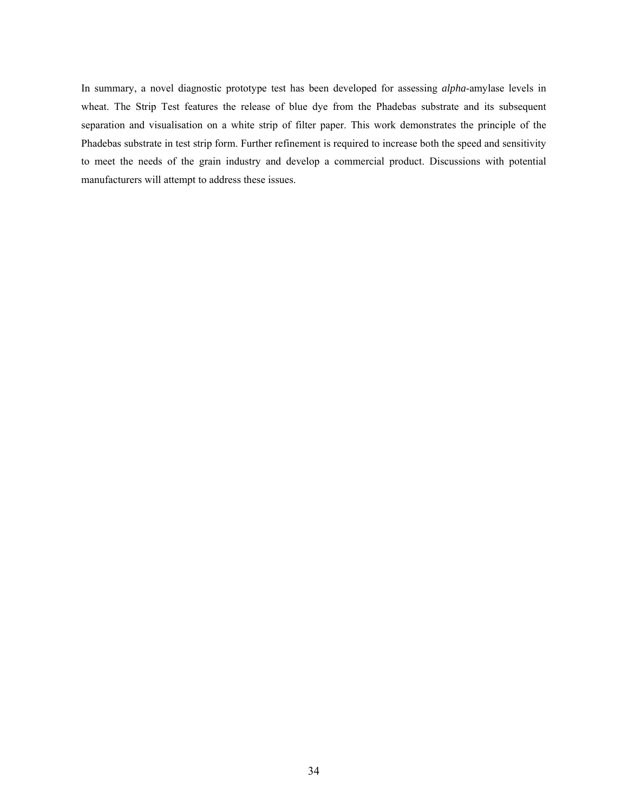In summary, a novel diagnostic prototype test has been developed for assessing *alpha*-amylase levels in wheat. The Strip Test features the release of blue dye from the Phadebas substrate and its subsequent separation and visualisation on a white strip of filter paper. This work demonstrates the principle of the Phadebas substrate in test strip form. Further refinement is required to increase both the speed and sensitivity to meet the needs of the grain industry and develop a commercial product. Discussions with potential manufacturers will attempt to address these issues.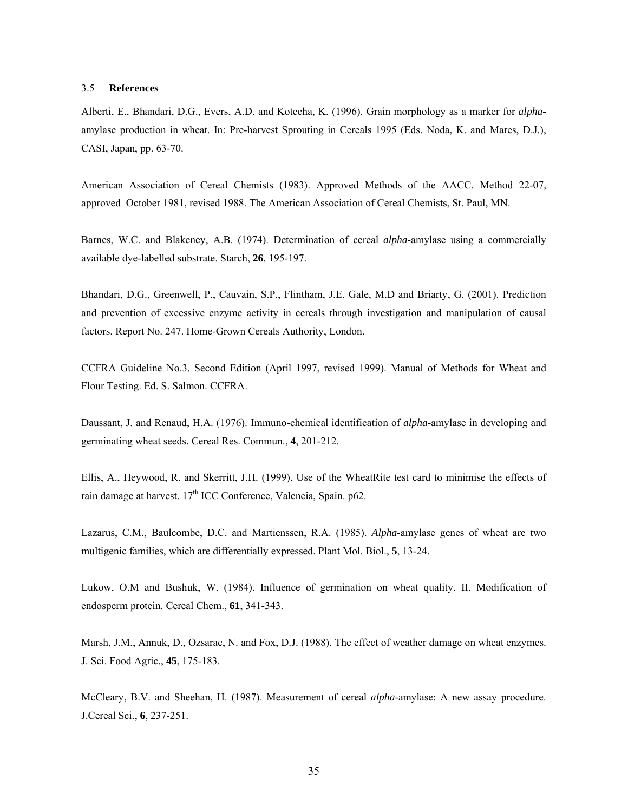#### 3.5 **References**

Alberti, E., Bhandari, D.G., Evers, A.D. and Kotecha, K. (1996). Grain morphology as a marker for *alpha*amylase production in wheat. In: Pre-harvest Sprouting in Cereals 1995 (Eds. Noda, K. and Mares, D.J.), CASI, Japan, pp. 63-70.

American Association of Cereal Chemists (1983). Approved Methods of the AACC. Method 22-07, approved October 1981, revised 1988. The American Association of Cereal Chemists, St. Paul, MN.

Barnes, W.C. and Blakeney, A.B. (1974). Determination of cereal *alpha-*amylase using a commercially available dye-labelled substrate. Starch, **26**, 195-197.

Bhandari, D.G., Greenwell, P., Cauvain, S.P., Flintham, J.E. Gale, M.D and Briarty, G. (2001). Prediction and prevention of excessive enzyme activity in cereals through investigation and manipulation of causal factors. Report No. 247. Home-Grown Cereals Authority, London.

CCFRA Guideline No.3. Second Edition (April 1997, revised 1999). Manual of Methods for Wheat and Flour Testing. Ed. S. Salmon. CCFRA.

Daussant, J. and Renaud, H.A. (1976). Immuno-chemical identification of *alpha*-amylase in developing and germinating wheat seeds. Cereal Res. Commun., **4**, 201-212.

Ellis, A., Heywood, R. and Skerritt, J.H. (1999). Use of the WheatRite test card to minimise the effects of rain damage at harvest. 17<sup>th</sup> ICC Conference, Valencia, Spain. p62.

Lazarus, C.M., Baulcombe, D.C. and Martienssen, R.A. (1985). *Alpha*-amylase genes of wheat are two multigenic families, which are differentially expressed. Plant Mol. Biol., **5**, 13-24.

Lukow, O.M and Bushuk, W. (1984). Influence of germination on wheat quality. II. Modification of endosperm protein. Cereal Chem., **61**, 341-343.

Marsh, J.M., Annuk, D., Ozsarac, N. and Fox, D.J. (1988). The effect of weather damage on wheat enzymes. J. Sci. Food Agric., **45**, 175-183.

McCleary, B.V. and Sheehan, H. (1987). Measurement of cereal *alpha*-amylase: A new assay procedure. J.Cereal Sci., **6**, 237-251.